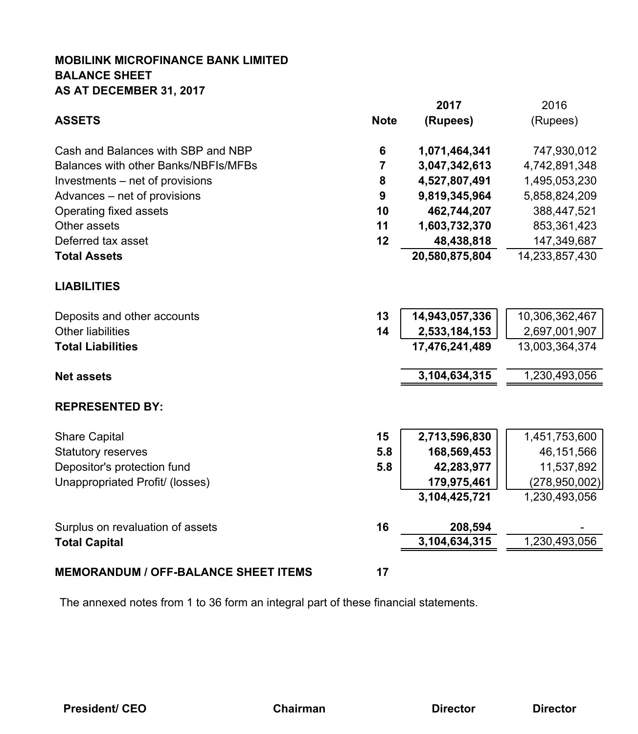## **MOBILINK MICROFINANCE BANK LIMITED BALANCE SHEET AS AT DECEMBER 31, 2017**

|                                             |                | 2017             | 2016            |
|---------------------------------------------|----------------|------------------|-----------------|
| <b>ASSETS</b>                               | <b>Note</b>    | (Rupees)         | (Rupees)        |
| Cash and Balances with SBP and NBP          | 6              | 1,071,464,341    | 747,930,012     |
| Balances with other Banks/NBFIs/MFBs        | $\overline{7}$ | 3,047,342,613    | 4,742,891,348   |
| Investments – net of provisions             | 8              | 4,527,807,491    | 1,495,053,230   |
| Advances - net of provisions                | 9              | 9,819,345,964    | 5,858,824,209   |
| Operating fixed assets                      | 10             | 462,744,207      | 388,447,521     |
| Other assets                                | 11             | 1,603,732,370    | 853,361,423     |
| Deferred tax asset                          | 12             | 48,438,818       | 147,349,687     |
| <b>Total Assets</b>                         |                | 20,580,875,804   | 14,233,857,430  |
| <b>LIABILITIES</b>                          |                |                  |                 |
| Deposits and other accounts                 | 13             | 14,943,057,336   | 10,306,362,467  |
| <b>Other liabilities</b>                    | 14             | 2,533,184,153    | 2,697,001,907   |
| <b>Total Liabilities</b>                    |                | 17,476,241,489   | 13,003,364,374  |
| <b>Net assets</b>                           |                | 3,104,634,315    | 1,230,493,056   |
| <b>REPRESENTED BY:</b>                      |                |                  |                 |
| <b>Share Capital</b>                        | 15             | 2,713,596,830    | 1,451,753,600   |
| <b>Statutory reserves</b>                   | 5.8            | 168,569,453      | 46,151,566      |
| Depositor's protection fund                 | 5.8            | 42,283,977       | 11,537,892      |
| Unappropriated Profit/ (losses)             |                | 179,975,461      | (278, 950, 002) |
|                                             |                | 3,104,425,721    | 1,230,493,056   |
| Surplus on revaluation of assets            | 16             | 208,594          |                 |
| <b>Total Capital</b>                        |                | 3, 104, 634, 315 | 1,230,493,056   |
| <b>MEMORANDUM / OFF-BALANCE SHEET ITEMS</b> | 17             |                  |                 |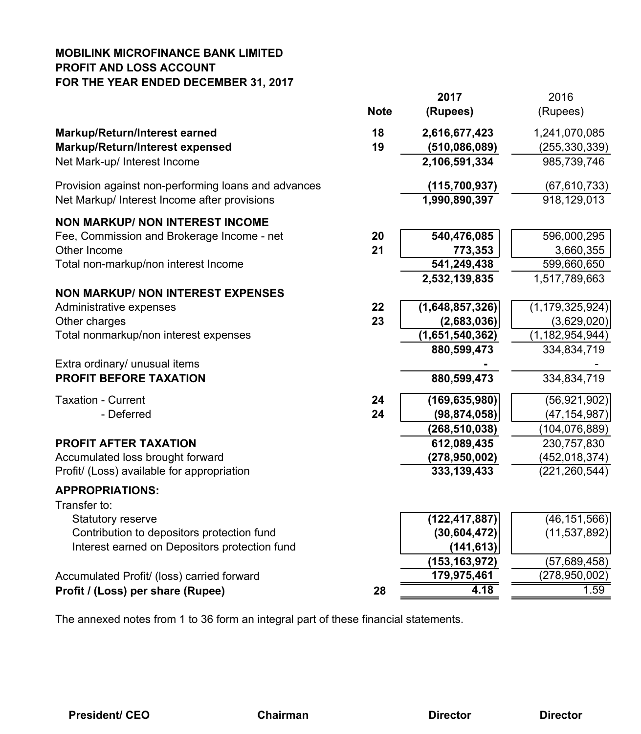#### **MOBILINK MICROFINANCE BANK LIMITED PROFIT AND LOSS ACCOUNT FOR THE YEAR ENDED DECEMBER 31, 2017**

|                                                     |             | 2017            | 2016               |
|-----------------------------------------------------|-------------|-----------------|--------------------|
|                                                     | <b>Note</b> | (Rupees)        | (Rupees)           |
| Markup/Return/Interest earned                       | 18          | 2,616,677,423   | 1,241,070,085      |
| Markup/Return/Interest expensed                     | 19          | (510,086,089)   | (255, 330, 339)    |
| Net Mark-up/ Interest Income                        |             | 2,106,591,334   | 985,739,746        |
| Provision against non-performing loans and advances |             | (115, 700, 937) | (67, 610, 733)     |
| Net Markup/ Interest Income after provisions        |             | 1.990,890,397   | 918,129,013        |
| <b>NON MARKUP/ NON INTEREST INCOME</b>              |             |                 |                    |
| Fee, Commission and Brokerage Income - net          | 20          | 540,476,085     | 596,000,295        |
| Other Income                                        | 21          | 773,353         | 3,660,355          |
| Total non-markup/non interest Income                |             | 541,249,438     | 599,660,650        |
|                                                     |             | 2,532,139,835   | 1,517,789,663      |
| <b>NON MARKUP/ NON INTEREST EXPENSES</b>            |             |                 |                    |
| Administrative expenses                             | 22          | (1,648,857,326) | (1, 179, 325, 924) |
| Other charges                                       | 23          | (2,683,036)     | (3,629,020)        |
| Total nonmarkup/non interest expenses               |             | (1,651,540,362) | (1, 182, 954, 944) |
|                                                     |             | 880,599,473     | 334,834,719        |
| Extra ordinary/ unusual items                       |             |                 |                    |
| PROFIT BEFORE TAXATION                              |             | 880,599,473     | 334,834,719        |
| <b>Taxation - Current</b>                           | 24          | (169, 635, 980) | (56, 921, 902)     |
| - Deferred                                          | 24          | (98, 874, 058)  | (47, 154, 987)     |
|                                                     |             | (268, 510, 038) | (104, 076, 889)    |
| <b>PROFIT AFTER TAXATION</b>                        |             | 612,089,435     | 230,757,830        |
| Accumulated loss brought forward                    |             | (278, 950, 002) | (452, 018, 374)    |
| Profit/ (Loss) available for appropriation          |             | 333, 139, 433   | (221, 260, 544)    |
| <b>APPROPRIATIONS:</b>                              |             |                 |                    |
| Transfer to:                                        |             |                 |                    |
| Statutory reserve                                   |             | (122, 417, 887) | (46, 151, 566)     |
| Contribution to depositors protection fund          |             | (30, 604, 472)  | (11, 537, 892)     |
| Interest earned on Depositors protection fund       |             | (141, 613)      |                    |
|                                                     |             | (153, 163, 972) | (57, 689, 458)     |
| Accumulated Profit/ (loss) carried forward          |             | 179,975,461     | (278, 950, 002)    |
| Profit / (Loss) per share (Rupee)                   | 28          | 4.18            | 1.59               |
|                                                     |             |                 |                    |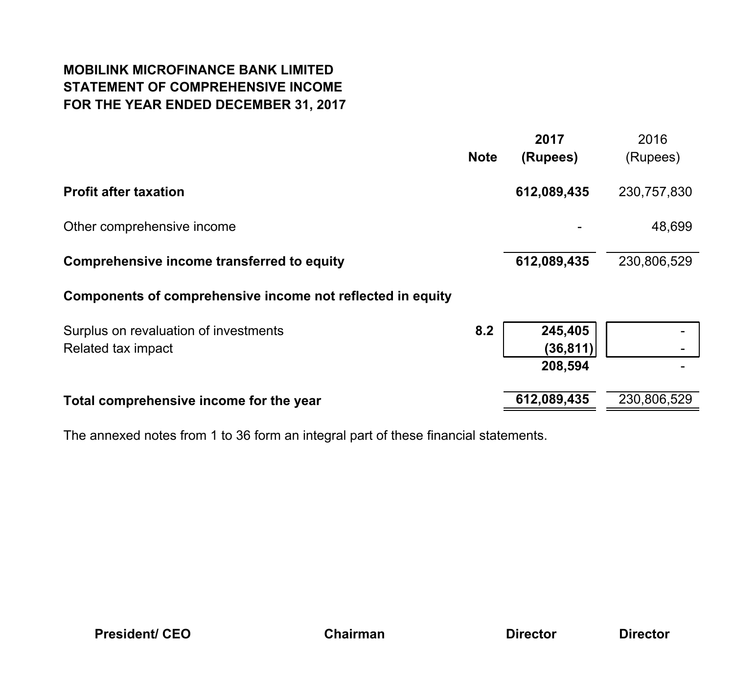## **MOBILINK MICROFINANCE BANK LIMITED STATEMENT OF COMPREHENSIVE INCOME FOR THE YEAR ENDED DECEMBER 31, 2017**

|                                                             | <b>Note</b> | 2017<br>(Rupees)                | 2016<br>(Rupees) |
|-------------------------------------------------------------|-------------|---------------------------------|------------------|
| <b>Profit after taxation</b>                                |             | 612,089,435                     | 230,757,830      |
| Other comprehensive income                                  |             |                                 | 48,699           |
| Comprehensive income transferred to equity                  |             | 612,089,435                     | 230,806,529      |
| Components of comprehensive income not reflected in equity  |             |                                 |                  |
| Surplus on revaluation of investments<br>Related tax impact | 8.2         | 245,405<br>(36, 811)<br>208,594 |                  |
| Total comprehensive income for the year                     |             | 612,089,435                     | 230,806,529      |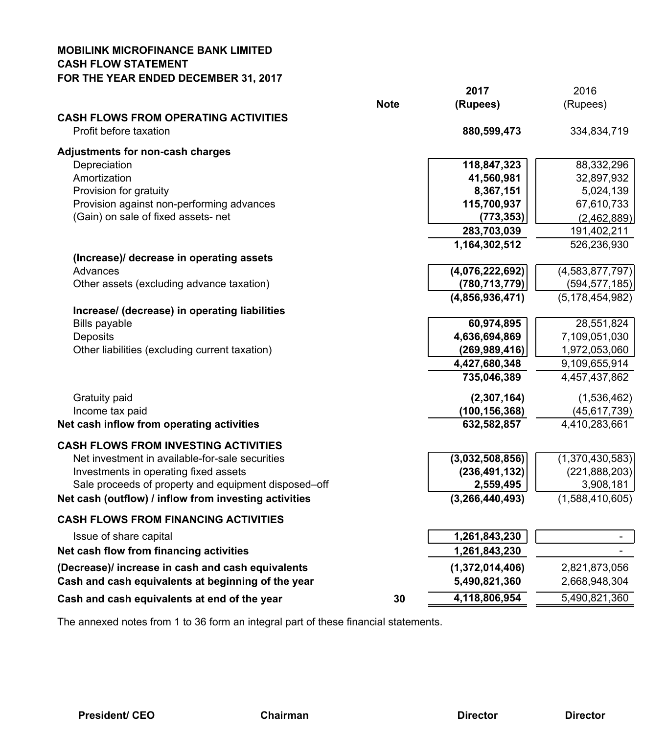#### **MOBILINK MICROFINANCE BANK LIMITED CASH FLOW STATEMENT FOR THE YEAR ENDED DECEMBER 31, 2017**

|                                                       |             | 2017                        | 2016                        |
|-------------------------------------------------------|-------------|-----------------------------|-----------------------------|
|                                                       | <b>Note</b> | (Rupees)                    | (Rupees)                    |
| <b>CASH FLOWS FROM OPERATING ACTIVITIES</b>           |             |                             |                             |
| Profit before taxation                                |             | 880,599,473                 | 334,834,719                 |
| Adjustments for non-cash charges                      |             |                             |                             |
| Depreciation                                          |             | 118,847,323                 | 88,332,296                  |
| Amortization                                          |             | 41,560,981                  | 32,897,932                  |
| Provision for gratuity                                |             | 8,367,151                   | 5,024,139                   |
| Provision against non-performing advances             |             | 115,700,937                 | 67,610,733                  |
| (Gain) on sale of fixed assets- net                   |             | (773, 353)                  | (2,462,889)                 |
|                                                       |             | 283,703,039                 | 191,402,211                 |
|                                                       |             | 1,164,302,512               | 526,236,930                 |
| (Increase)/ decrease in operating assets              |             |                             |                             |
| Advances                                              |             | (4,076,222,692)             | (4,583,877,797)             |
| Other assets (excluding advance taxation)             |             | (780, 713, 779)             | (594, 577, 185)             |
|                                                       |             | (4,856,936,471)             | (5, 178, 454, 982)          |
| Increase/ (decrease) in operating liabilities         |             |                             |                             |
| Bills payable<br>Deposits                             |             | 60,974,895<br>4,636,694,869 | 28,551,824<br>7,109,051,030 |
| Other liabilities (excluding current taxation)        |             | (269, 989, 416)             | 1,972,053,060               |
|                                                       |             | 4,427,680,348               | 9,109,655,914               |
|                                                       |             | 735,046,389                 | 4,457,437,862               |
|                                                       |             |                             |                             |
| Gratuity paid                                         |             | (2,307,164)                 | (1,536,462)                 |
| Income tax paid                                       |             | (100, 156, 368)             | (45, 617, 739)              |
| Net cash inflow from operating activities             |             | 632,582,857                 | 4,410,283,661               |
| <b>CASH FLOWS FROM INVESTING ACTIVITIES</b>           |             |                             |                             |
| Net investment in available-for-sale securities       |             | (3,032,508,856)             | (1,370,430,583)             |
| Investments in operating fixed assets                 |             | (236, 491, 132)             | (221, 888, 203)             |
| Sale proceeds of property and equipment disposed-off  |             | 2,559,495                   | 3,908,181                   |
| Net cash (outflow) / inflow from investing activities |             | (3,266,440,493)             | (1,588,410,605)             |
| <b>CASH FLOWS FROM FINANCING ACTIVITIES</b>           |             |                             |                             |
| Issue of share capital                                |             | 1,261,843,230               |                             |
| Net cash flow from financing activities               |             | 1,261,843,230               |                             |
| (Decrease)/ increase in cash and cash equivalents     |             | (1,372,014,406)             | 2,821,873,056               |
| Cash and cash equivalents at beginning of the year    |             | 5,490,821,360               | 2,668,948,304               |
| Cash and cash equivalents at end of the year          | 30          | 4,118,806,954               | 5,490,821,360               |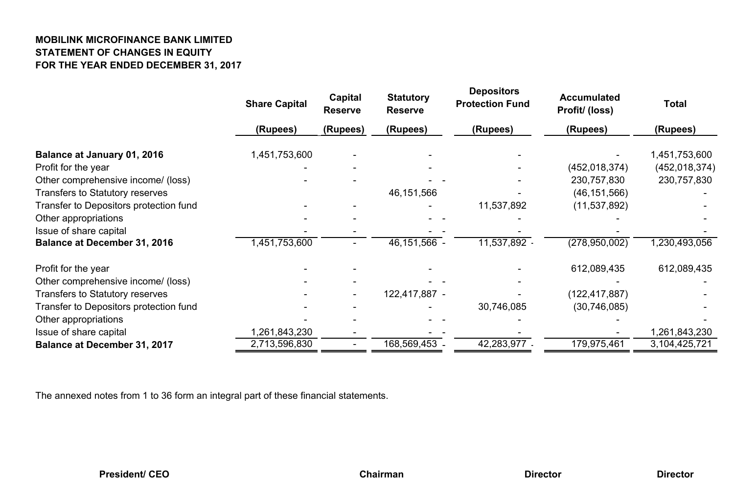## **MOBILINK MICROFINANCE BANK LIMITED STATEMENT OF CHANGES IN EQUITY FOR THE YEAR ENDED DECEMBER 31, 2017**

|                                        | <b>Share Capital</b> | Capital<br><b>Reserve</b> | <b>Statutory</b><br><b>Reserve</b> | <b>Depositors</b><br><b>Protection Fund</b> | <b>Accumulated</b><br>Profit/ (loss) | <b>Total</b>    |
|----------------------------------------|----------------------|---------------------------|------------------------------------|---------------------------------------------|--------------------------------------|-----------------|
|                                        | (Rupees)             | (Rupees)                  | (Rupees)                           | (Rupees)                                    | (Rupees)                             | (Rupees)        |
| Balance at January 01, 2016            | 1,451,753,600        |                           |                                    |                                             |                                      | 1,451,753,600   |
| Profit for the year                    |                      |                           |                                    |                                             | (452, 018, 374)                      | (452, 018, 374) |
| Other comprehensive income/ (loss)     |                      |                           |                                    |                                             | 230,757,830                          | 230,757,830     |
| Transfers to Statutory reserves        |                      |                           | 46,151,566                         |                                             | (46, 151, 566)                       |                 |
| Transfer to Depositors protection fund |                      |                           |                                    | 11,537,892                                  | (11, 537, 892)                       |                 |
| Other appropriations                   |                      |                           |                                    |                                             |                                      |                 |
| Issue of share capital                 |                      |                           |                                    |                                             |                                      |                 |
| <b>Balance at December 31, 2016</b>    | 1,451,753,600        |                           | 46, 151, 566                       | 11,537,892                                  | (278, 950, 002)                      | 1,230,493,056   |
| Profit for the year                    |                      |                           |                                    |                                             | 612,089,435                          | 612,089,435     |
| Other comprehensive income/ (loss)     |                      |                           |                                    |                                             |                                      |                 |
| Transfers to Statutory reserves        |                      |                           | 122,417,887 -                      |                                             | (122, 417, 887)                      |                 |
| Transfer to Depositors protection fund |                      |                           |                                    | 30,746,085                                  | (30, 746, 085)                       |                 |
| Other appropriations                   |                      |                           |                                    |                                             |                                      |                 |
| Issue of share capital                 | 1,261,843,230        |                           |                                    |                                             |                                      | 1,261,843,230   |
| <b>Balance at December 31, 2017</b>    | 2,713,596,830        |                           | 168,569,453 -                      | 42,283,977                                  | 179,975,461                          | 3,104,425,721   |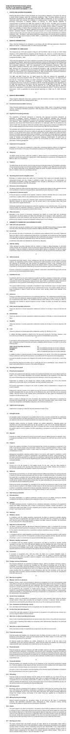# **1 STATUS AND NATURE OF BUSINESS**

Mobilink Microfinance Bank Limited (the Bank) was incorporated in Pakistan on November 29, 2010 as a public limited company under the Companies Ordinance, 1984. The Bank obtained license for Microfinance operations from the State Bank of Pakistan (SBP) on September 12, 2011 to operate on a nationwide basis and received the certificate of commencement of business from Securities and Exchange Commission of Pakistan (SECP) on February 13, 2012 whereas certificate of commencement of business from SBP was received on April 20, 2012. The Bank has 61 business locations/ touch points comprising of 61 branches and no booth/ service centre (2016: 51 business locations/ touch points comprising of 35 branches and 16 booths/ service centres) in operation. The Bank is a subsidiary of Global Telecom Holding S.A.E. (the holding company) which owns 99.99% share capital in the Bank. The Bank's registered and principal office is situated at Plot No. 3-A/2, F-8 Markaz, Islamabad, Pakistan. The Bank's principal business is to provide microfinance banking and related services to the poor and under served segment of the society under the Microfinance Institution Ordinance, 2001. The Bank is also offering Branchless Banking Services through agency agreement with Pakistan Mobile Communications Limited (PMCL), a related party, under the Branchless Banking license from the SBP.

## **2 BASIS OF PRESENTATION**

These financial statements are presented in accordance with the Banking Supervision Department (BSD) Circular No. 11 dated December 30, 2003 issued by the SBP.

### **3 STATEMENT OF COMPLIANCE**

The Companies Act, 2017 was enacted on May 30, 2017 and SECP vide its circular 23 of 2017 dated October 4, 2017 clarified that the companies whose financial year, closes on or before December 31, 2017 shall prepare their financial statements in accordance with the provisions of the repealed Companies Ordinance, 1984.

These financial statements have been prepared in accordance with the approved accounting standards as applicable in Pakistan. Approved accounting standards comprise of International Financial Reporting Standards (IFRSs) issued by the International Accounting Standards Board (IASB) as are notified under the Companies Ordinance, 1984, the requirements of the Companies Ordinance, 1984, the Microfinance Institutions Ordinance, 2001, and the regulations/ directives issued by the SECP and the SBP. Wherever the requirements of the Companies Ordinance, 1984, the Microfinance Institutions Ordinance, 2001, or regulations/ directives issued by the SECP and SBP differ with the requirements of IFRSs, the requirements of the Companies Ordinance, 1984, the Microfinance Institutions Ordinance, 2001, or the requirements of the said regulations/ directives shall prevail.

The SBP vide BSD Circular No. 10, dated August 26, 2002 has deferred the applicability of International Accounting Standard (IAS) 39, "Financial Instruments: Recognition and Measurement" and IAS 40, "Investment Property" till further instructions. Accordingly, the requirements of these standards have not been considered in the preparation of these financial statements. However, investments have been measured in accordance with the Prudential Regulations (the Regulations) of the SBP and presented in accordance with the requirements of SBP BSD Circular No. 11 dated December 30, 2003. Further, the SECP, vide its S.R.O No. 411 (I)/ 2008 dated April 28, 2008 has deferred the applicability of International Financial Reporting Standard (IFRS) 7 "Financial Instruments: Disclosures", which is applicable for annual periods beginning on or after July 01, 2009, till further orders.

-2-

### **4 BASIS OF MEASURMENT**

These financial statements have been prepared under the historical cost basis except "available for sale" investments which are measured at fair value.

### **4.1 Functional and presentation currency**

These financial statements are presented in Pakistan Rupee (PKR), which is the Bank's functional currency. All financial information presented in PKR has been rounded to the nearest of PKR, unless otherwise stated.

### **4.2 Significant accounting estimates**

The preparation of financial statements in conformity with approved accounting standards, as applicable in Pakistan, requires management to make judgments/ estimates and associated assumptions that affect the application of policies and reported amounts of assets and liabilities, income and expenses. These judgments/ estimates and associated assumptions are based on historical experience and various other factors that are believed to be reasonable under the circumstances, the result of which form the basis of making the estimates about carrying value of assets and liabilities that are not readily apparent from other sources. Actual results may differ from these estimates.

The estimates and underlying assumptions are reviewed on an ongoing basis. Revisions to accounting estimates are recognized in the period in which the estimates are revised if the revision affects only that period, or in the period of the revision and future periods if the revision affects both current and future periods. Information about significant areas of estimation, uncertainty and critical judgments in applying accounting policies that have significant effect on the amounts recognized in the financial statements relates to valuation and impairment of investments, advances, determination of useful lives of depreciable assets and intangible assets, provision for income taxes and other provisions which are discussed in following paragraphs:

### **a) Impairment of investments**

Impairment in the value of investments is made after considering objective evidence of impairment. Provision for diminution in the value of investments is made as per the Regulations issued by SBP.

### **b) Advances**

The Bank reviews its micro credit loan portfolio to assess amount of non-performing advances and provision required there against on regular basis. While assessing this requirement, the Regulations of SBP are taken into consideration.

### **c) Taxation**

The Bank takes into account the current income tax law and decisions taken by the taxation authorities. Those amounts are shown as contingent liabilities wherein, the Bank's views differ from the views taken by the taxation authorities at the assessment stage and where the Bank considers that its view on items of material nature is in accordance with law.

### **d) Operating fixed assets/ intangible assets**

Estimates of residual values and useful lives of operating fixed assets and intangible assets are reassessed annually and any change in estimate is taken into account in the determination of depreciation/ amortization charge and impairment loss. Changes in estimates are accounted for over the estimated remaining useful life of the assets.

# **e) Provisions and contingencies**

The Bank reviews the status of all the legal cases on a regular basis. Based on the expected outcome and consideration of opinion of its legal advisor, appropriate provision/ disclosure is made.

## **f) Impairment of financial assets**

A financial asset is considered to be impaired if objective evidence indicates that one or more events would have a negative effect on the estimated future cash flows of that asset.

An impairment loss in respect of a financial asset measured at amortized cost is calculated as the difference between its carrying amount, and the present value of the estimated future cash flows discounted at the original interest rate.

Individually significant financial assets are tested for impairment on an individual basis. The remaining financial assets are assessed collectively in groups that share similar credit risk characteristics. All impairment losses are recognized in profit and loss account.

## **g) Other provisions**

Estimates of the amount of provisions recognized are based on current legal and constructive requirements. As actual outflows can differ from estimates due to changes in laws, regulations, public expectations, prices and conditions, and can take many years in the future, the carrying amounts of provisions are regularly reviewed and adjusted to take account of such changes.

## **5 SUMMARY OF SIGNIFICANT ACCOUNTING POLICIES**

## **5.1 Cash and cash equivalents**

Cash and cash equivalents comprise cash in hand, balance with SBP/ National Bank of Pakistan (NBP) and other banks/ Non-Banking Financial Institutions (NBFIs)/ Microfinance Banks (MFBs).

## **5.2 Investment**

All purchases and sale of investments are recognized using settlement date accounting. Settlement date is the date on which investments are delivered to or by the Bank. All investments are derecognized when the right to receive economic benefits from the investments has expired or has been transferred or the Bank has transferred substantially all the risks and rewards of ownership.

Investments of the Bank are classified into the following categories:

### **a) Held for trading**

These represent securities acquired with the intention to trade by taking advantage of short-term market/ interest rate movements. These securities are disposed off within 90 days from the date of their acquisition. These are marked to market and surplus/ deficit arising on revaluation of 'held for trading' investments is taken to profit and loss account in accordance with the requirements prescribed by SBP.

-4-

## **b) Held to maturity**

Investments with fixed maturity, where management has both the intention and the ability to hold to maturity, are classified as held to maturity. Subsequent to initial recognition at cost, these investments are measured at amortized cost, less provision for impairment in value, if any. Amortized cost is calculated taking into account effective interest rate method. Profit on held to maturity investments is recognized on a time proportion basis taking into account the effective yield on the investments.

Premium or discount on acquisition of held to maturity investments is amortized through profit and loss account over the remaining period till maturity.

### **c) Available-for-sale**

Investments which may be sold in response to needs for liquidity or changes in interest rates, exchange rates or equity prices are classified as available for sale. Available-for-sale investments are initially recognized at cost and subsequently measured at fair value. Profit on available-for-sale investments is recognized on a time proportion basis taking into account the effective yield on the investments.

Markup / income / return / service charges on advances is recognized on accrual / time proportion basis using effective interest rate method at the Bank's prevailing interest rates for the loan products. Markup/ income on advances is collected with loan instalments. Due but unpaid service charges / income are accrued on overdue advances for period up to 30 days. After 30 days, overdue advances are classified as non-performing and recognition of unpaid service charges / income ceases. Further, accrued markup on non-performing advances are reversed and credited to suspense account. Subsequently, markup recoverable on non-performing advances is recognized on a receipt basis in accordance with the requirements of the Regulations.

The surplus /(deficit) arising on revaluation of available for sale investments is kept in "surplus/ (deficit) on revaluation of assets" through statement of comprehensive income. The surplus/ (deficit) arising on these investments is taken to profit and loss account, when actually realized upon disposal of the investment.

## **5.3 Advances**

Advances are stated net of provision for non-performing advances. The outstanding principal and markup of the loans and advances, payments against which are overdue for 30 days or more are classified as non-performing loans (NPLs). The unrealized interest/ profit/ markup/ service charges on NPLs is suspended and credited to interest suspense account. Further the NPLs are divided into following categories:

### **a) Other assets especially mentioned**

These are advances in arrears (payments/ instalments overdue) for 30 days or more but less than 60 days.

# **b) Substandard**

These are advances in arrears (payments/ instalments overdue) for 60 days or more but less than 90 days.

### **c) Doubtful**

These are advances in arrears (payments/ instalments overdue) for 90 days or more but less than 180 days.

### **d) Loss**

These are advances in arrears (payments/ instalments overdue) for 180 days or more.

In addition the Bank maintains a Watch List of all accounts overdue for 5-29 days. However, such accounts are not treated as non-performing for the purpose of classification/ provisioning. -5-

In accordance with the Regulations, the Bank maintains specific provision of outstanding principal net of cash collaterals and Gold (ornaments and bullion) realizable without recourse to a Court of Law at the following rates:

| Other assets especially mentioned | Nil                                                   |
|-----------------------------------|-------------------------------------------------------|
| Substandard                       | 25% of outstanding principal net of cash collaterals  |
| Doubtful                          | 50% of outstanding principal net of cash collaterals  |
| Loss                              | 100% of outstanding principal net of cash collaterals |

In addition to above, a general provision is made equivalent to 2% (2016: 1.5%) of the net outstanding balance (advances net of specific provisions) in accordance with the requirement of the Regulations.

General and specific provisions are charged to the profit and loss account in the period in which they occur.

Non-performing advances are written off one month after the loan is classified as "Loss". However, the Bank continues its efforts for recovery of the written off balances.

# **5.4 Operating fixed assets**

# **a) Property and equipment**

Property and equipment are stated at cost less accumulated depreciation and accumulated impairment losses, if any. Cost includes expenditure that is directly attributable to the acquisition of the asset and the costs of dismantling and removing the items and restoring on which they are located, if any.

Depreciation is charged on the straight line method at rates specified note 10.2 to the financial statements, so as to write off the cost of assets over their estimated useful lives.

Full month's depreciation is charged in the month of addition while no depreciation is charged in the month of deletion.

Subsequent costs are included in the assets carrying amount when it is probable that future economic benefits associated with the item will flow to the Bank and the cost of the item can be measured reliably. Carrying amount of the replaced part is derecognized. All other repair and maintenance are charged to income during the year.

Gains or losses on disposal of an item of property and equipment are determined by comparing the proceeds from disposal with the carrying amounts. Gains are recognized within "other income" while losses are recognized in administrative expenses in the profit and loss account.

# **b) Capital work-in-progress**

Capital work-in-progress is stated at cost less impairment losses, if any.

## -6-

# **c) Intangible assets**

An intangible asset is recognized if it is probable that the future economic benefits that are attributable to the asset will flow to the Bank and that the cost of such asset can also be measured reliably. These are stated at cost less accumulated amortization and impairment losses, if any.

Intangible assets comprise of computer software and related applications. Intangible assets are amortized over their estimated useful lives at rate specified in note 10.3 to the financial statements. Subsequent expenditure is capitalized only when it increases the future economic benefit embodied in the specific asset to which it relates. All other expenditure is recognized in profit and loss account as incurred.

# **5.5 Deposits**

Deposits are initially recorded at the amount of proceeds received. Markup accrued on deposits, if any, is recognized separately as part of other liabilities and is charged to the profit and loss account over the period.

# **5.6 Taxation**

Income tax expense comprises of current and deferred tax. Income tax expense is recognized in the profit or loss account except to the extent that it relates to items recognized directly in equity or below equity/ other comprehensive income in which case it is recognized in equity or below equity/ other comprehensive income.

Management periodically evaluates positions taken in tax returns, with respect to situations in which applicable tax regulation is subject to interpretation, and establishes provisions, where appropriate, on the basis of amounts expected to be paid to the tax authorities. Instances where the Bank's view differs from the view taken by the income tax department at the assessment stage, the amounts are shown as contingent liabilities.

# **a) Current**

Current tax is the tax payable on the taxable income for the year, using tax rates enacted or substantively enacted at the reporting date, taking into account tax credits, rebates and tax losses, if any, and any adjustment to tax payable in respect of previous years.

# **b) Deferred**

Deferred tax is accounted for on all major taxable temporary differences between the carrying amounts of assets for financial reporting purposes and their tax base. A deferred tax asset is recognized only to the extent that it is probable that future taxable profits will be available against which the asset can be utilized. Deferred tax assets are reduced to the extent that it is no longer probable that the related tax benefit will be realized. At each balance sheet date, the bank reassesses the carrying amount and the unrecognized amount of deferred tax assets.

Deferred tax assets and liabilities are calculated at the rate that are expected to apply for the period when the asset is realized or the liability is settled, based on the tax rates (and tax laws) that have been enacted or substantially enacted till the balance sheet date. Deferred tax, on revaluation of investments, if any, is recognized as an adjustment to surplus/ (deficit) arising on such revaluation.

-7-

# **5.7 Staff retirement benefits**

# **a) Provident fund**

The Bank participates in a defined contribution provident fund for its eligible employees. Monthly contributions are made by the Bank and its employees at rate of 10% of basic salary.

# **b) Gratuity**

The Bank maintains provision of gratuity for all contractual employees, according to the agreement signed with HRSG Outsourcing (Pvt) Limited, an outsourcing company. Gratuity equivalent to one month's last drawn basic salary for each completed year of service is paid to outgoing employees with at least 1 year of past service rendered.

# **5.8 Reserves**

# **a) Statutory reserve**

In compliance with the related regulatory requirements, the Bank is required to maintain statutory reserve to which an appropriation equivalent to 20% of the profit after tax is required to be made till such time the reserve fund equals the paid up capital of the Bank. However, thereafter, the contribution is to be reduced to 5% of the profit after tax.

# **b) Depositor's protection fund**

The Bank is required under the Microfinance Institutions Ordinance, 2001, to contribute 5% of annual after tax profit and profit earned on investments of the fund to be credited to depositors protection fund for the purpose of providing security or guarantee to persons depositing money in the Bank.

# **c) Cash reserve**

**`** In compliance with the related regulatory requirements, the Bank is required to maintain a cash reserve equivalent to not less than 5% of its deposits (including demand deposits and time deposits with tenor of less than 1 year) in a current account opened with the State Bank or its agent.

# **d) Statutory liquidity requirement**

In compliance with the related regulatory requirements, the Bank is required to maintain liquidity equivalent to at least 10% of its total demand liabilities and time liabilities with tenor of less than one year in form of liquid assets i.e. cash, gold, unencumbered treasury bills, Pakistan Investment Bonds and Government of Pakistan sukuk bonds. Treasury bills and Pakistan Investment Bonds held under depositor protection fund are excluded for the purpose of determining liquidity.

## **5.9 Provisions**

A provision is recognized when, and only when, the Bank has a present obligation (legal or constructive) as a result of a past event, it is probable that an outflow of resources embodying economic benefits will be required to settle the obligation, and a reliable estimate can be made of the amount of the obligation.

# **5.10 Foreign currency transactions**

The financial statements are presented in Pakistani Rupee, which is the Bank's functional currency. Transactions in foreign currencies are translated into Pak Rupee at exchange rate on the date of transaction. All monetary assets and liabilities in foreign currencies are translated into Pak Rupee at the rate of exchange approximating those ruling at the balance sheet date. Foreign exchange gains and losses resulting from the settlement of such transactions and from the translation at the year end exchange rates of monetary assets and liabilities denominated in foreign currencies are recognized in profit and loss account.

-8-

# **5.11 Revenue recognition**

### **a) Markup / income on advances**

## **b) Income from investments**

Markup / income on investments is recognized on accrual / time proportion basis using the effective interest method. Where debt securities are purchased at premium or discount, those premiums / discounts are amortized through profit and loss account over the remaining period of maturity.

### **c) Fee, commission and brokerage income**

Fee, commission and brokerage income is recognized when the related services are rendered.

### **d) Income from inter bank deposits**

Income from inter bank deposits in saving accounts is recognized in the profit and loss account as it accrues using the effective interest method .

### **e) Gain/ loss on sale of operating fixed assets**

Gain on sale of operating fixed assets are recognized under other income in the profit and loss account.

Loss on sale of operating fixed assets are recognized under administrative expenses in the profit and loss account.

### **f) Gain/ loss on sale of investments**

Gains and losses on sale of investments are recognised in the profit and loss account.

### **5.12 Financial instruments**

Financial assets and liabilities are recognized when the Bank becomes a party to the contractual provisions of the instrument. These are derecognized when the Bank ceases to be the party to the contractual provisions of the instrument.

All financial assets and liabilities are initially measured at cost which is the fair value of the consideration given and received respectively. These financial assets and liabilities are subsequently measured at fair value, amortized cost or historical cost, as the case may be.

### **a) Financial assets**

Financial assets are cash and balances with SBP and NBP, balances with other banks/NBFls/MFBs, lending to financial institutions, investments, advances and other receivables. Advances are stated at their nominal value as reduced by appropriate provisions against non-performing advances, while other financial assets excluding investments are stated at cost. Investments classified as held for trading and available for sale are valued at year end prices and investments classified as held to maturity are stated at amortized cost.

-9-

### **b) Financial liabilities**

Financial liabilities are classified according to the substance of the contractual arrangement entered into. Financial liabilities include deposit and other accounts and other liabilities which are stated at their nominal value. Financial charges are accounted for on accrual basis.

Any gain or loss on the recognition and derecognition of the financial assets and liabilities is included in the net profit and loss for the year in which it arises.

### **5.13 Off-setting**

Financial assets and financial liabilities and tax assets and tax liabilities are only off-set and the net amount is reported in the financial statements when there is a legally enforceable right to set off the recognized amount and the Bank intends either to settle on net basis or to realize the assets and to settle the liabilities simultaneously. Income and expense items of such assets and liabilities are also offset and the net amount is reported in the financial statements.

### **5.14 Borrowing costs**

Borrowing costs are recognized as an expense in the period in which they are incurred except where such costs relate to the acquisition, construction or production of a qualifying asset in which case such costs are capitalized as part of the cost of that asset. Borrowing cost includes exchange differences arising from foreign currency borrowings to the extent these are regarded as an adjustment to borrowing costs.

### **5.15 Markup bearing borrowings**

Markup bearing borrowings are recognized initially at cost being the fair value of consideration received, less attributable transaction costs. Subsequent to initial recognition markup bearing borrowings are stated at original cost less subsequent repayments.

### **5.16 Grants**

The grant related to an asset is recognized in the balance sheet initially as deferred income when grant is received or there is reasonable assurance that it will be received and that the Bank will comply with the conditions attached to it. Grants that compensate the Bank for expenses incurred are recognized as revenue in the profit and loss account on a systematic basis in the same periods in which the expenses are incurred. Grants that compensate the Bank for the cost of an asset are recognized in the profit and loss account as other operating income on a systematic basis over the useful life of the asset.

### **5.17 Earnings per share**

The Bank presents basic and diluted earnings per share (EPS) for its shareholders. Basic EPS is calculated by dividing the profit or loss attributable to ordinary shareholders of the Bank by the weighted average number of ordinary shares outstanding during the year. Diluted EPS, if any is determined by adjusting the profit or loss attributable to ordinary shareholders and the weighted average number of ordinary shares outstanding for the effects of all dilutive potential ordinary shares. There were no dilutive potential ordinary shares in issue at December 31, 2017.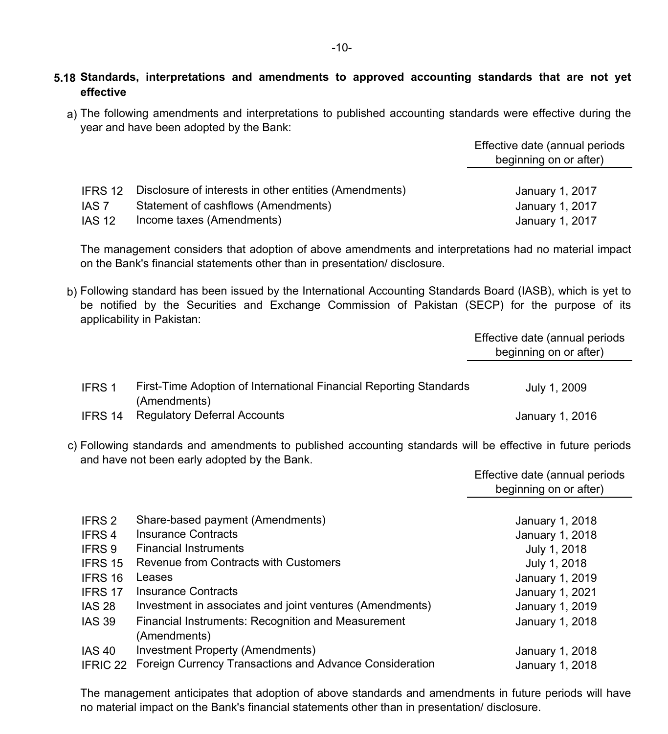**5.18 Standards, interpretations and amendments to approved accounting standards that are not yet effective**

a) The following amendments and interpretations to published accounting standards were effective during the year and have been adopted by the Bank:

|                  |                                                        | Effective date (annual periods<br>beginning on or after) |
|------------------|--------------------------------------------------------|----------------------------------------------------------|
| IFRS 12          | Disclosure of interests in other entities (Amendments) | January 1, 2017                                          |
| IAS <sub>7</sub> | Statement of cashflows (Amendments)                    | January 1, 2017                                          |
| <b>IAS 12</b>    | Income taxes (Amendments)                              | January 1, 2017                                          |

The management considers that adoption of above amendments and interpretations had no material impact on the Bank's financial statements other than in presentation/ disclosure.

b) Following standard has been issued by the International Accounting Standards Board (IASB), which is yet to be notified by the Securities and Exchange Commission of Pakistan (SECP) for the purpose of its applicability in Pakistan:

|              |                                                                                    | Effective date (annual periods<br>beginning on or after) |
|--------------|------------------------------------------------------------------------------------|----------------------------------------------------------|
| <b>IFRS1</b> | First-Time Adoption of International Financial Reporting Standards<br>(Amendments) | July 1, 2009                                             |
| $1 - 2 - 1$  | Desdeten Defenst Assemble                                                          |                                                          |

- IFRS 14 Regulatory Deferral Accounts January 1, 2016
- c) Following standards and amendments to published accounting standards will be effective in future periods and have not been early adopted by the Bank.

|                 |                                                                    | Effective date (annual periods<br>beginning on or after) |
|-----------------|--------------------------------------------------------------------|----------------------------------------------------------|
| IFRS 2          | Share-based payment (Amendments)                                   | January 1, 2018                                          |
| <b>IFRS 4</b>   | Insurance Contracts                                                | January 1, 2018                                          |
| IFRS 9          | <b>Financial Instruments</b>                                       | July 1, 2018                                             |
| IFRS 15         | Revenue from Contracts with Customers                              | July 1, 2018                                             |
| IFRS 16         | Leases                                                             | January 1, 2019                                          |
| IFRS 17         | Insurance Contracts                                                | January 1, 2021                                          |
| IAS 28          | Investment in associates and joint ventures (Amendments)           | January 1, 2019                                          |
| <b>IAS 39</b>   | Financial Instruments: Recognition and Measurement<br>(Amendments) | January 1, 2018                                          |
| <b>IAS 40</b>   | <b>Investment Property (Amendments)</b>                            | January 1, 2018                                          |
| <b>IFRIC 22</b> | Foreign Currency Transactions and Advance Consideration            | January 1, 2018                                          |

The management anticipates that adoption of above standards and amendments in future periods will have no material impact on the Bank's financial statements other than in presentation/ disclosure.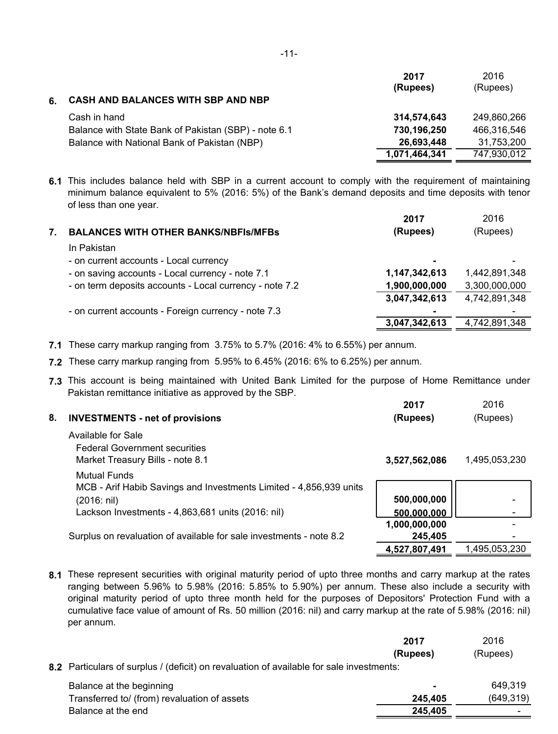|                                                      | 2017<br>(Rupees) | 2016<br>(Rupees) |
|------------------------------------------------------|------------------|------------------|
| <b>CASH AND BALANCES WITH SBP AND NBP</b>            |                  |                  |
| Cash in hand                                         | 314,574,643      | 249,860,266      |
| Balance with State Bank of Pakistan (SBP) - note 6.1 | 730,196,250      | 466.316.546      |
| Balance with National Bank of Pakistan (NBP)         | 26,693,448       | 31,753,200       |
|                                                      | 1,071,464,341    | 747,930,012      |

**6.1** This includes balance held with SBP in a current account to comply with the requirement of maintaining minimum balance equivalent to 5% (2016: 5%) of the Bank's demand deposits and time deposits with tenor of less than one year.

| (Rupees)<br><b>BALANCES WITH OTHER BANKS/NBFIS/MFBS</b><br>7.<br>In Pakistan<br>- on current accounts - Local currency<br>- on saving accounts - Local currency - note 7.1<br>1,147,342,613<br>- on term deposits accounts - Local currency - note 7.2<br>1,900,000,000<br>3,047,342,613<br>- on current accounts - Foreign currency - note 7.3 | 2016          | 2017 |  |
|-------------------------------------------------------------------------------------------------------------------------------------------------------------------------------------------------------------------------------------------------------------------------------------------------------------------------------------------------|---------------|------|--|
|                                                                                                                                                                                                                                                                                                                                                 | (Rupees)      |      |  |
|                                                                                                                                                                                                                                                                                                                                                 |               |      |  |
|                                                                                                                                                                                                                                                                                                                                                 |               |      |  |
|                                                                                                                                                                                                                                                                                                                                                 | 1,442,891,348 |      |  |
|                                                                                                                                                                                                                                                                                                                                                 | 3,300,000,000 |      |  |
|                                                                                                                                                                                                                                                                                                                                                 | 4,742,891,348 |      |  |
|                                                                                                                                                                                                                                                                                                                                                 |               |      |  |
| 3,047,342,613                                                                                                                                                                                                                                                                                                                                   | 4,742,891,348 |      |  |

- **7.1** These carry markup ranging from 3.75% to 5.7% (2016: 4% to 6.55%) per annum.
- **7.2** These carry markup ranging from 5.95% to 6.45% (2016: 6% to 6.25%) per annum.
- **7.3** This account is being maintained with United Bank Limited for the purpose of Home Remittance under Pakistan remittance initiative as approved by the SBP.

| 8. | <b>INVESTMENTS - net of provisions</b>                                                         | 2017<br>(Rupees) | 2016<br>(Rupees) |
|----|------------------------------------------------------------------------------------------------|------------------|------------------|
|    | Available for Sale<br><b>Federal Government securities</b><br>Market Treasury Bills - note 8.1 | 3,527,562,086    | 1,495,053,230    |
|    | Mutual Funds<br>MCB - Arif Habib Savings and Investments Limited - 4,856,939 units             |                  |                  |
|    | (2016: nil)                                                                                    | 500,000,000      |                  |
|    | Lackson Investments - 4,863,681 units (2016: nil)                                              | 500,000,000      |                  |
|    |                                                                                                | 1,000,000,000    |                  |
|    | Surplus on revaluation of available for sale investments - note 8.2                            | 245,405          |                  |
|    |                                                                                                | 4,527,807,491    | 1,495,053,230    |

**8.1** These represent securities with original maturity period of upto three months and carry markup at the rates ranging between 5.96% to 5.98% (2016: 5.85% to 5.90%) per annum. These also include a security with original maturity period of upto three month held for the purposes of Depositors' Protection Fund with a cumulative face value of amount of Rs. 50 million (2016: nil) and carry markup at the rate of 5.98% (2016: nil) per annum.

|                                                                                          | 2017     | 2016       |
|------------------------------------------------------------------------------------------|----------|------------|
|                                                                                          | (Rupees) | (Rupees)   |
| 8.2 Particulars of surplus / (deficit) on revaluation of available for sale investments: |          |            |
| Balance at the beginning                                                                 |          | 649,319    |
| Transferred to/ (from) revaluation of assets                                             | 245.405  | (649, 319) |
| Balance at the end                                                                       | 245,405  |            |
|                                                                                          |          |            |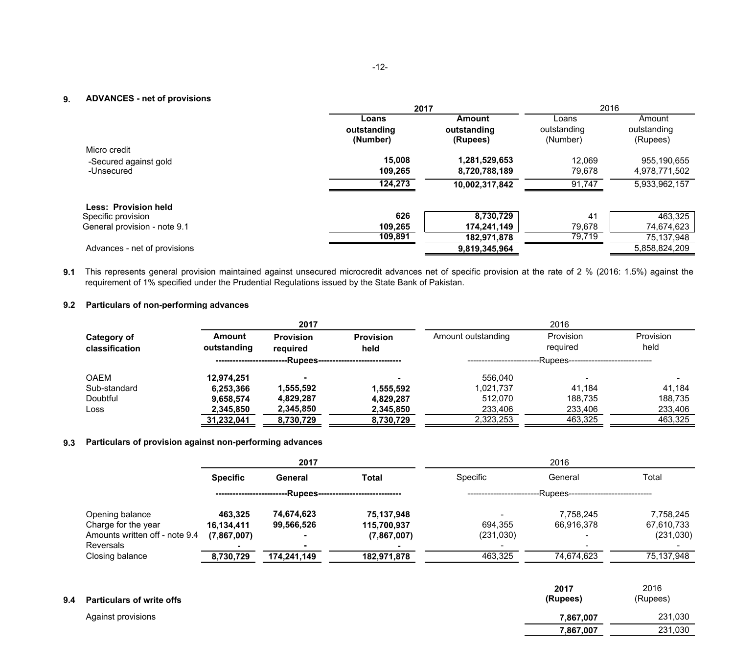#### **9. ADVANCES - net of provisions**

|                              | 2017                    |                         | 2016                    |                         |
|------------------------------|-------------------------|-------------------------|-------------------------|-------------------------|
|                              | Loans                   | Amount                  | Loans                   | Amount                  |
|                              | outstanding<br>(Number) | outstanding<br>(Rupees) | outstanding<br>(Number) | outstanding<br>(Rupees) |
| Micro credit                 |                         |                         |                         |                         |
| -Secured against gold        | 15,008                  | 1,281,529,653           | 12.069                  | 955,190,655             |
| -Unsecured                   | 109.265                 | 8.720.788.189           | 79.678                  | 4.978.771.502           |
|                              | 124,273                 | 10,002,317,842          | 91,747                  | 5,933,962,157           |
| Less: Provision held         |                         |                         |                         |                         |
| Specific provision           | 626                     | 8,730,729               | 41                      | 463,325                 |
| General provision - note 9.1 | 109.265                 | 174.241.149             | 79,678                  | 74,674,623              |
|                              | 109,891                 | 182,971,878             | 79,719                  | 75,137,948              |
| Advances - net of provisions |                         | 9.819.345.964           |                         | 5.858.824.209           |

**9.1** This represents general provision maintained against unsecured microcredit advances net of specific provision at the rate of 2 % (2016: 1.5%) against the requirement of 1% specified under the Prudential Regulations issued by the State Bank of Pakistan.

#### **9.2 Particulars of non-performing advances**

|                               |                       | 2017                         |                          | 2016               |                       |                   |  |
|-------------------------------|-----------------------|------------------------------|--------------------------|--------------------|-----------------------|-------------------|--|
| Category of<br>classification | Amount<br>outstanding | <b>Provision</b><br>reauired | <b>Provision</b><br>held | Amount outstanding | Provision<br>required | Provision<br>held |  |
|                               |                       | -Rupees-                     |                          |                    | -Rupees               |                   |  |
| <b>OAEM</b>                   | 12.974.251            |                              | -                        | 556.040            |                       |                   |  |
| Sub-standard                  | 6.253.366             | 1.555.592                    | 1.555.592                | 1.021.737          | 41.184                | 41.184            |  |
| Doubtful                      | 9.658.574             | 4.829.287                    | 4.829.287                | 512.070            | 188.735               | 188.735           |  |
| Loss                          | 2,345,850             | 2,345,850                    | 2,345,850                | 233.406            | 233,406               | 233,406           |  |
|                               | 31,232,041            | 8,730,729                    | 8,730,729                | 2,323,253          | 463,325               | 463,325           |  |

#### **9.3 Particulars of provision against non-performing advances**

|                                | 2017            |             |                                  | 2016      |            |            |  |
|--------------------------------|-----------------|-------------|----------------------------------|-----------|------------|------------|--|
|                                | <b>Specific</b> | General     | <b>Total</b>                     | Specific  | General    | Total      |  |
|                                |                 |             | -Rupees------------------------- |           | -Rupees--- |            |  |
| Opening balance                | 463.325         | 74,674,623  | 75,137,948                       |           | 7.758.245  | 7.758.245  |  |
| Charge for the year            | 16.134.411      | 99,566,526  | 115,700,937                      | 694.355   | 66,916,378 | 67,610,733 |  |
| Amounts written off - note 9.4 | (7,867,007)     |             | (7,867,007)                      | (231,030) | -          | (231,030)  |  |
| Reversals                      |                 |             |                                  |           | -          |            |  |
| Closing balance                | 8,730,729       | 174,241,149 | 182,971,878                      | 463.325   | 74.674.623 | 75,137,948 |  |

| 9.4 Particulars of write offs | 2017<br>(Rupees) | 2016<br>(Rupees) |
|-------------------------------|------------------|------------------|
| Against provisions            | 7.867.007        | 231,030          |
|                               | 7,867,007        | 231,030          |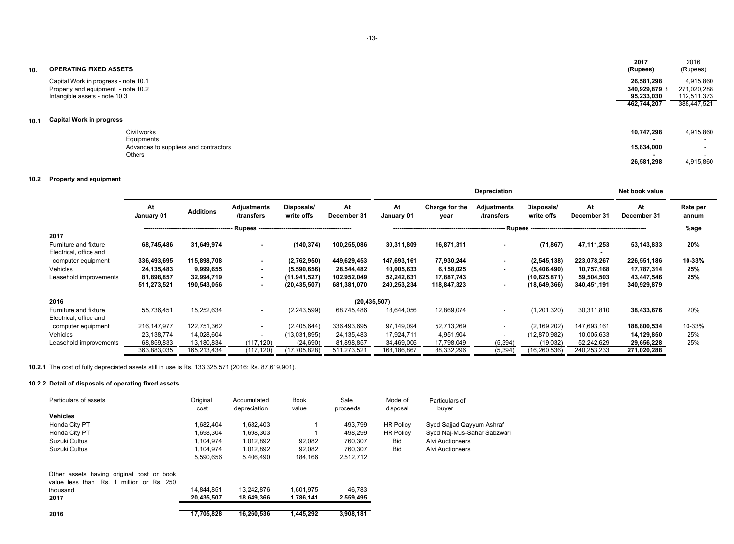| 10.  | <b>OPERATING FIXED ASSETS</b>                                                                               | 2017<br>(Rupees)                                       | 2016<br>(Rupees)                                                  |
|------|-------------------------------------------------------------------------------------------------------------|--------------------------------------------------------|-------------------------------------------------------------------|
|      | Capital Work in progress - note 10.1<br>Property and equipment - note 10.2<br>Intangible assets - note 10.3 | 26,581,298<br>340,929,879<br>95,233,030<br>462,744,207 | 4,915,860<br>271,020,288<br>112,511,373<br>388,447,521            |
| 10.1 | Capital Work in progress                                                                                    |                                                        |                                                                   |
|      | Civil works<br>Equipments<br>Advances to suppliers and contractors<br>Others                                | 10,747,298<br>15,834,000                               | 4,915,860<br>$\overline{\phantom{0}}$<br>$\overline{\phantom{a}}$ |

**26,581,298** 4,915,860

#### **10.2 Property and equipment**

|                        |                  |                  |                                  |                          |                   |                  |                        | Depreciation              |                          |                   | Net book value    |                   |
|------------------------|------------------|------------------|----------------------------------|--------------------------|-------------------|------------------|------------------------|---------------------------|--------------------------|-------------------|-------------------|-------------------|
|                        | At<br>January 01 | <b>Additions</b> | <b>Adjustments</b><br>/transfers | Disposals/<br>write offs | At<br>December 31 | At<br>January 01 | Charge for the<br>year | Adjustments<br>/transfers | Disposals/<br>write offs | At<br>December 31 | At<br>December 31 | Rate per<br>annum |
|                        |                  |                  |                                  |                          |                   |                  |                        |                           |                          |                   |                   | %age              |
| 2017                   |                  |                  |                                  |                          |                   |                  |                        |                           |                          |                   |                   |                   |
| Furniture and fixture  | 68,745,486       | 31,649,974       |                                  | (140, 374)               | 100,255,086       | 30,311,809       | 16,871,311             |                           | (71, 867)                | 47,111,253        | 53, 143, 833      | 20%               |
| Electrical, office and |                  |                  |                                  |                          |                   |                  |                        |                           |                          |                   |                   |                   |
| computer equipment     | 336,493,695      | 115,898,708      |                                  | (2,762,950)              | 449,629,453       | 147,693,161      | 77,930,244             |                           | (2,545,138)              | 223,078,267       | 226,551,186       | 10-33%            |
| Vehicles               | 24, 135, 483     | 9,999,655        |                                  | (5,590,656)              | 28,544,482        | 10,005,633       | 6,158,025              |                           | (5,406,490)              | 10,757,168        | 17,787,314        | 25%               |
| Leasehold improvements | 81,898,857       | 32,994,719       |                                  | (11, 941, 527)           | 102,952,049       | 52,242,631       | 17,887,743             |                           | (10,625,871)             | 59,504,503        | 43,447,546        | 25%               |
|                        | 511,273,521      | 190,543,056      |                                  | (20, 435, 507)           | 681,381,070       | 240,253,234      | 118,847,323            |                           | (18, 649, 366)           | 340,451,191       | 340,929,879       |                   |
| 2016                   |                  |                  |                                  |                          | (20, 435, 507)    |                  |                        |                           |                          |                   |                   |                   |
| Furniture and fixture  | 55,736,451       | 15,252,634       | $\overline{\phantom{a}}$         | (2, 243, 599)            | 68,745,486        | 18,644,056       | 12,869,074             |                           | (1,201,320)              | 30,311,810        | 38,433,676        | 20%               |
| Electrical, office and |                  |                  |                                  |                          |                   |                  |                        |                           |                          |                   |                   |                   |
| computer equipment     | 216, 147, 977    | 122,751,362      |                                  | (2,405,644)              | 336,493,695       | 97,149,094       | 52,713,269             |                           | (2, 169, 202)            | 147,693,161       | 188,800,534       | 10-33%            |
| Vehicles               | 23,138,774       | 14,028,604       |                                  | (13,031,895)             | 24,135,483        | 17,924,711       | 4,951,904              |                           | (12,870,982)             | 10,005,633        | 14,129,850        | 25%               |
| Leasehold improvements | 68,859,833       | 13,180,834       | (117, 120)                       | (24, 690)                | 81,898,857        | 34,469,006       | 17,798,049             | (5, 394)                  | (19, 032)                | 52,242,629        | 29,656,228        | 25%               |
|                        | 363,883,035      | 165,213,434      | (117, 120)                       | (17,705,828)             | 511,273,521       | 168,186,867      | 88,332,296             | (5, 394)                  | (16, 260, 536)           | 240,253,233       | 271,020,288       |                   |
|                        |                  |                  |                                  |                          |                   |                  |                        |                           |                          |                   |                   |                   |

**10.2.1** The cost of fully depreciated assets still in use is Rs. 133,325,571 (2016: Rs. 87,619,901).

#### **10.2.2 Detail of disposals of operating fixed assets**

| Particulars of assets                                                                  | Original<br>cost | Accumulated<br>depreciation | <b>Book</b><br>value | Sale<br>proceeds | Mode of<br>disposal | Particulars of<br>buyer    |
|----------------------------------------------------------------------------------------|------------------|-----------------------------|----------------------|------------------|---------------------|----------------------------|
| <b>Vehicles</b>                                                                        |                  |                             |                      |                  |                     |                            |
| Honda City PT                                                                          | 1.682.404        | .682.403                    |                      | 493.799          | <b>HR Policy</b>    | Syed Sajjad Qayyum Ashraf  |
| Honda City PT                                                                          | 1.698.304        | .698.303                    |                      | 498.299          | <b>HR Policy</b>    | Syed Naj-Mus-Sahar Sabzwar |
| Suzuki Cultus                                                                          | 1.104.974        | 1,012,892                   | 92.082               | 760,307          | Bid                 | <b>Alvi Auctioneers</b>    |
| Suzuki Cultus                                                                          | 1.104.974        | 1.012.892                   | 92,082               | 760,307          | Bid                 | <b>Alvi Auctioneers</b>    |
|                                                                                        | 5.590.656        | 5.406.490                   | 184.166              | 2.512.712        |                     |                            |
| Other assets having original cost or book<br>million or Rs. 250<br>value less than Rs. |                  |                             |                      |                  |                     |                            |
| thousand                                                                               | 14.844.851       | 13.242.876                  | 1.601.975            | 46.783           |                     |                            |
| 2017                                                                                   | 20,435,507       | 18,649,366                  | 1,786,141            | 2,559,495        |                     |                            |
| 2016                                                                                   | 17,705,828       | 16,260,536                  | 1,445,292            | 3,908,181        |                     |                            |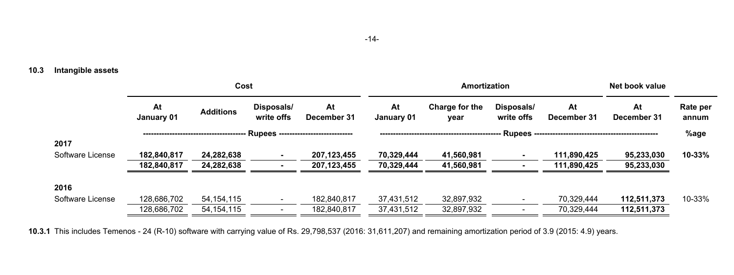#### **10.3 Intangible assets**

|                  |                  | Cost             |                          |                                    |                  | <b>Amortization</b>    | Net book value           |                   |                   |                          |
|------------------|------------------|------------------|--------------------------|------------------------------------|------------------|------------------------|--------------------------|-------------------|-------------------|--------------------------|
|                  | At<br>January 01 | <b>Additions</b> | Disposals/<br>write offs | At<br>December 31                  | At<br>January 01 | Charge for the<br>year | Disposals/<br>write offs | At<br>December 31 | At<br>December 31 | <b>Rate per</b><br>annum |
|                  |                  |                  |                          | Rupees --------------------------- |                  |                        |                          |                   |                   | %age                     |
| 2017             |                  |                  |                          |                                    |                  |                        |                          |                   |                   |                          |
| Software License | 182.840.817      | 24,282,638       |                          | 207,123,455                        | 70,329,444       | 41,560,981             |                          | 111,890,425       | 95,233,030        | 10-33%                   |
|                  | 182,840,817      | 24,282,638       |                          | 207, 123, 455                      | 70,329,444       | 41,560,981             |                          | 111,890,425       | 95,233,030        |                          |
| 2016             |                  |                  |                          |                                    |                  |                        |                          |                   |                   |                          |
| Software License | 128,686,702      | 54, 154, 115     |                          | 182,840,817                        | 37,431,512       | 32,897,932             |                          | 70,329,444        | 112,511,373       | 10-33%                   |
|                  | 128,686,702      | 54, 154, 115     |                          | 182,840,817                        | 37,431,512       | 32,897,932             |                          | 70.329.444        | 112,511,373       |                          |

**10.3.1** This includes Temenos - 24 (R-10) software with carrying value of Rs. 29,798,537 (2016: 31,611,207) and remaining amortization period of 3.9 (2015: 4.9) years.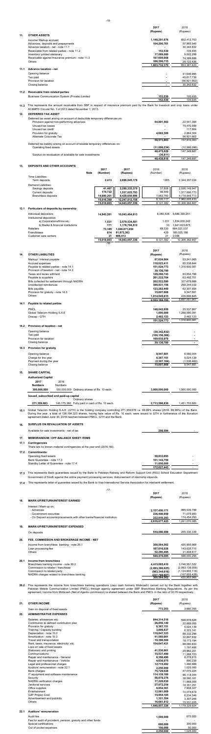|      |                                                                                                                                    | 2017          | 2016         |
|------|------------------------------------------------------------------------------------------------------------------------------------|---------------|--------------|
| 11.  | <b>OTHER ASSETS</b>                                                                                                                | (Rupees)      | (Rupees)     |
|      | Income/ Markup accrued                                                                                                             | 1,148,291,676 | 652,412,703  |
|      | Advances, deposits and prepayments                                                                                                 | 104,200,761   | 57,985,540   |
|      | Advance taxation - net - note 11.1                                                                                                 |               | 30,342,832   |
|      | Receivable from related parties - note 11.2                                                                                        | 153,530       | 105,935      |
|      | Inventory/ printed stationary                                                                                                      | 17,089,080    | 9,002,299    |
|      | Receivable against Insurance premium - note 11.3                                                                                   | 167,600,608   | 74,389,688   |
|      | <b>Others</b>                                                                                                                      | 166,396,715   | 29,122,426   |
|      |                                                                                                                                    | 1,603,732,370 | 853,361,423  |
| 11.1 | <b>Advance taxation - net</b>                                                                                                      |               |              |
|      | Opening balance                                                                                                                    |               | 41,646,995   |
|      | Tax paid                                                                                                                           |               | 45,617,739   |
|      | Provision for taxation                                                                                                             |               | (56,921,902) |
|      | Closing balance                                                                                                                    |               | 30,342,832   |
| 11.2 | Receivable from related parties                                                                                                    |               |              |
|      | Business Communication System (Private) Limited                                                                                    | 153,530       | 105,935      |
|      |                                                                                                                                    | 153,530       | 105,935      |
| 11.3 | This represents the amount receivable from SBP in respect of insurance premium paid by the Bank for livestock and crop loans under |               |              |

**11.3** This represents the amount receivable from SBP in respect of insurance premium paid by the Bank for livestock and crop loans under AC&MFD Circular No. 1 of 2013 dated November 1, 2013.

#### **12. DEFERRED TAX ASSET**

| Deferred tax asset arising on account of deductible temporary differences on:  |              |              |
|--------------------------------------------------------------------------------|--------------|--------------|
| Provision against non-performing advances                                      | 54,891,563   | 22,541,384   |
| Unused tax losses                                                              |              | 75,470,589   |
| Unused tax credit                                                              |              | 117.904      |
| Provision for gratuity                                                         | 4,682,300    | 2,864,304    |
| Alternate Corporate Tax                                                        |              | 56,921,902   |
|                                                                                | 59,573,863   | 157.916.083  |
| Deferred tax liability arising on account of taxable temporary differences on: |              |              |
| Operating fixed assets                                                         | (11,098,234) | (10,566,396) |
|                                                                                | 48,475,629   | 147.349.687  |
| Surplus on revaluation of available for sale investments                       | (36, 811)    |              |
|                                                                                | 48,438,818   | 147,349,687  |

#### **13. DEPOSITS AND OTHER ACCOUNTS**

|      |                                      |             | 2017               | 2017           | 2016      | 2016           |
|------|--------------------------------------|-------------|--------------------|----------------|-----------|----------------|
|      |                                      | <b>Note</b> | (Number)           | (Rupees)       | (Number)  | (Rupees)       |
|      | Time Liabilities:                    |             |                    |                |           |                |
|      | Term deposits                        |             | 2,413              | 2,696,045,178  | 1265      | 2,344,357,034  |
|      | Demand Liabilities:                  |             |                    |                |           |                |
|      | Savings deposits                     |             | 41,467             | 2,280,335,379  | 37,808    | 2,526,149,947  |
|      | Current deposits                     |             | 174,722            | 1,537,025,783  | 98,549    | 1,317,006,773  |
|      | <b>Branchless deposits</b>           |             | 14,800,201         | 8,429,650,996  | 7,983,760 | 4,118,848,713  |
|      |                                      |             | 15,016,390         | 12,247,012,158 | 8,120,117 | 7,962,005,433  |
|      |                                      |             | <u>15,018,803 </u> | 14,943,057,336 | 8,121,382 | 10,306,362,467 |
| 13.1 | Particulars of deposits by ownership |             |                    |                |           |                |
|      | Individual depositors                |             | 14,943,281         | 10,043,404,813 | 8,050,538 | 5,686,390,251  |
|      | Institutional depositors             |             |                    |                |           |                |
|      | a) Corporations/firms etc.           |             | 1,531              | 2,579,534,581  | 1,031     | 1,834,000,242  |
|      | b) Banks & financial institutions    |             | 171                | 1,178,704,512  | 33        | 1,941,623,675  |
|      | <b>Retailers</b>                     |             | 73,185             | 1,048,871,654  | 69,330    | 684,321,037    |
|      | <b>Franchisees</b>                   |             | 614                | 91,873,363     | 429       | 160,025,166    |
|      | Customer care centers                |             | 21                 | 668,413        | 21        | 2,096          |
|      |                                      |             | 15,018,803         | 14,943,057,336 | 8,121,382 | 10,306,362,467 |
|      |                                      |             | $-16-$             |                |           |                |

| 14.  | <b>OTHER LIABILITIES</b>                     | 2017<br>(Rupees) | 2016<br>(Rupees) |
|------|----------------------------------------------|------------------|------------------|
|      | Markup/ Interest payable                     | 87,624,964       | 53.241.065       |
|      | Accrued expenses                             | 118,023,411      | 85,538,644       |
|      | Payable to related parties - note 14.1       | 151,524,773      | 1,316,600,081    |
|      | Provision of taxation - net - note 14.2      | 39,136,780       |                  |
|      | Taxes and levies withheld                    | 129,260,743      | 83,654,788       |
|      | Payable to suppliers                         | 261.222.704      | 63.492.751       |
|      | Bills collected for settlement through NADRA | 202.523.590      | 327,679,666      |
|      | Uncollected remittances                      | 390,931,156      | 259,244,032      |
|      | Bills payable                                | 123,282,449      | 62,307,554       |
|      | Provision for gratuity - note 14.3           | 15,607,668       | 9,547,681        |
|      | <b>Others</b>                                | 1,014,045,915    | 435,695,645      |
|      |                                              | 2,533,184,153    | 2,697,001,907    |
| 14.1 | Payable to related parties                   |                  |                  |

|      | <b>PMCL</b><br>Global Telecom Holding S.A.E                                                                                                                                                                                                                                                                                                                                                           | 148,042,650<br>1,000,000           | 25,537,867<br>1,288,580,091           |
|------|-------------------------------------------------------------------------------------------------------------------------------------------------------------------------------------------------------------------------------------------------------------------------------------------------------------------------------------------------------------------------------------------------------|------------------------------------|---------------------------------------|
|      | Oracap - GTH                                                                                                                                                                                                                                                                                                                                                                                          | 2,482,123                          | 2,482,123                             |
|      | Provision of taxation - net                                                                                                                                                                                                                                                                                                                                                                           | 151,524,773                        | 1,316,600,081                         |
| 14.2 | Opening balance                                                                                                                                                                                                                                                                                                                                                                                       |                                    |                                       |
|      | Tax paid                                                                                                                                                                                                                                                                                                                                                                                              | (30, 342, 832)<br>(100, 156, 366)  |                                       |
|      | Provision for taxation<br>Closing balance                                                                                                                                                                                                                                                                                                                                                             | 169,635,978<br>39,136,780          |                                       |
| 14.3 | <b>Provision for gratuity</b>                                                                                                                                                                                                                                                                                                                                                                         |                                    |                                       |
|      | Opening balance                                                                                                                                                                                                                                                                                                                                                                                       | 9,547,681                          | 6,060,004                             |
|      | Charge for the year                                                                                                                                                                                                                                                                                                                                                                                   | 8,367,151                          | 5,024,139                             |
|      | Payment during the year<br>Closing balance                                                                                                                                                                                                                                                                                                                                                            | (2,307,164)<br>15,607,668          | (1,536,462)<br>9,547,681              |
| 15.  | <b>SHARE CAPITAL</b>                                                                                                                                                                                                                                                                                                                                                                                  |                                    |                                       |
|      | <b>Authorized Capital</b>                                                                                                                                                                                                                                                                                                                                                                             |                                    |                                       |
|      | 2017<br>2016                                                                                                                                                                                                                                                                                                                                                                                          |                                    |                                       |
|      | <b>Numbers</b><br>Numbers<br>300,000,000<br>150,000,000 Ordinary shares of Rs. 10 each.                                                                                                                                                                                                                                                                                                               | 3,000,000,000                      | 1,500,000,000                         |
|      | Issued, subscribed and paid-up capital                                                                                                                                                                                                                                                                                                                                                                |                                    |                                       |
|      | Ordinary shares<br>145, 175, 360 Fully paid in cash of Rs. 10 each.<br>271,359,683                                                                                                                                                                                                                                                                                                                    | 2,713,596,830                      | 1,451,753,600                         |
| 15.1 | Global Telecom Holding S.A.E. (GTH) is the holding company controlling 271,359,678 i.e. 99.99% shares (2016: 99.99%) of the Bank.                                                                                                                                                                                                                                                                     |                                    |                                       |
|      | During the year, a total of 126,184,323 shares, having face value of Rs. 10 each, were issued to GTH in furtherance of the Novation<br>agreement dated June 30, 2016 reached between PMCL, GTH and the Bank.                                                                                                                                                                                          |                                    |                                       |
| 16.  | <b>SURPLUS ON REVALUATION OF ASSETS</b>                                                                                                                                                                                                                                                                                                                                                               |                                    |                                       |
|      | Available for sale investments - net of tax                                                                                                                                                                                                                                                                                                                                                           | 208,594                            |                                       |
| 17.  | <b>MEMORANDUM / OFF-BALANCE SHEET ITEMS</b>                                                                                                                                                                                                                                                                                                                                                           |                                    |                                       |
| 17.1 | <b>Contingencies</b>                                                                                                                                                                                                                                                                                                                                                                                  |                                    |                                       |
|      | There are no known material contingencies at the year end (2016: Nil).                                                                                                                                                                                                                                                                                                                                |                                    |                                       |
| 17.2 | <b>Commitments:</b>                                                                                                                                                                                                                                                                                                                                                                                   |                                    |                                       |
|      | Operating fixed assets<br>Bank Guarantee - note 17.3                                                                                                                                                                                                                                                                                                                                                  | 59,833,693<br>101,143,750          |                                       |
|      | Standby Letter of Guarantee - note 17.4                                                                                                                                                                                                                                                                                                                                                               | 11.650.000<br>172,627,443          |                                       |
| 17.3 | This represents Bank guarantees issued by the Bank to Pakistan Railway and Reform Support Unit (RSU) School Education Department                                                                                                                                                                                                                                                                      |                                    |                                       |
|      | Government of Sindh against the online payment processing services, disbursement of internship stipends.                                                                                                                                                                                                                                                                                              |                                    |                                       |
| 17.4 | This represents letter of guarantee issued by the Bank to Visa International Service Association for interbank settlement.                                                                                                                                                                                                                                                                            |                                    |                                       |
|      | $-17-$                                                                                                                                                                                                                                                                                                                                                                                                |                                    |                                       |
|      |                                                                                                                                                                                                                                                                                                                                                                                                       | 2017                               | 2016                                  |
| 18.  | <b>MARK-UP/RETURN/INTEREST EARNED</b>                                                                                                                                                                                                                                                                                                                                                                 | (Rupees)                           | (Rupees)                              |
|      | Interest / Mark-up on;                                                                                                                                                                                                                                                                                                                                                                                |                                    |                                       |
|      | - Advances<br>- Government securities                                                                                                                                                                                                                                                                                                                                                                 | 2,157,450,171<br>236,408,959       | 995,539,799<br>71,075,993             |
|      | - On Deposit accounts/placements with other banks/financial institution                                                                                                                                                                                                                                                                                                                               | 222,818,293                        | 174,454,293                           |
|      |                                                                                                                                                                                                                                                                                                                                                                                                       | 2,616,677,423                      | 1,241,070,085                         |
| 19.  | <b>MARK-UP/RETURN/INTEREST EXPENSED</b>                                                                                                                                                                                                                                                                                                                                                               |                                    |                                       |
|      | On deposits                                                                                                                                                                                                                                                                                                                                                                                           | 510,086,089                        | 255,330,339                           |
| 20.  | FEE, COMMISSION AND BROKERAGE INCOME - NET                                                                                                                                                                                                                                                                                                                                                            |                                    |                                       |
|      | Income from branchless banking - note 20.1<br>Loan processing fee                                                                                                                                                                                                                                                                                                                                     | 300,564,562<br>187,616,028         | 420,955,968<br>143,635,710            |
|      | <b>Others</b>                                                                                                                                                                                                                                                                                                                                                                                         | 52,295,495                         | 31,408,617                            |
| 20.1 | Income from branchless                                                                                                                                                                                                                                                                                                                                                                                | 540,476,085                        | 596,000,295                           |
|      | Branchless banking income - note 20.2                                                                                                                                                                                                                                                                                                                                                                 | 4,415,065,410                      | 3,746,551,522                         |
|      | Commission to retailer / franchisee<br>Commission to related party                                                                                                                                                                                                                                                                                                                                    | (2,893,386,625)<br>(983, 344, 616) | (2,093,138,008)<br>(1, 124, 602, 118) |
|      | NADRA charges related to branchless banking                                                                                                                                                                                                                                                                                                                                                           | (237,769,607)<br>300,564,562       | (107, 855, 428)<br>420,955,968        |
|      |                                                                                                                                                                                                                                                                                                                                                                                                       |                                    |                                       |
| 20.2 | This represents the income from branchless banking operations (Jazz cash formerly Mobicash) carried out by the Bank together with<br>Pakistan Mobile Communication Limited (PMCL) through agency agreement under SBP Branchless Banking Regulations. As per the<br>agreement, Income from Mobicash (Net of Agents commission) is shared between the Bank and PMCL in the ratio of 30:70 respectively. |                                    |                                       |
|      |                                                                                                                                                                                                                                                                                                                                                                                                       | 2017                               | 2016                                  |
| 21.  | <b>OTHER INCOME</b>                                                                                                                                                                                                                                                                                                                                                                                   | (Rupees)                           | (Rupees)                              |
|      | Gain on disposal of fixed assets                                                                                                                                                                                                                                                                                                                                                                      | 773,353                            | 3,660,355                             |
| 22.  | <b>ADMINISTRATIVE EXPENSES</b>                                                                                                                                                                                                                                                                                                                                                                        |                                    |                                       |
|      | Salaries, allowances etc.<br>Contribution to defined contribution plan                                                                                                                                                                                                                                                                                                                                | 844.314.516<br>26,856,140          | 598,678,628<br>22,669,055             |
|      | Provision for gratuity                                                                                                                                                                                                                                                                                                                                                                                | 8,367,151                          | 5,024,139                             |
|      | Training / Capacity building<br>Depreciation - note 10.2                                                                                                                                                                                                                                                                                                                                              | 3,899,837<br>118,847,323           | 6,323,141<br>88,332,296               |
|      | Amortization - note 10.3<br>Travel and transportation                                                                                                                                                                                                                                                                                                                                                 | 41,560,981<br>19,396,500           | 32,897,932<br>18,173,194              |
|      | Rent, taxes, insurance, electricity, etc.                                                                                                                                                                                                                                                                                                                                                             | 154,647,421                        | 98,080,633                            |
|      | Loss on sale of fixed assets<br>Stationary and printing                                                                                                                                                                                                                                                                                                                                               | 41,530,901                         | 1,197,466<br>29,962,201               |
|      | Communications<br>Repair and maintenance - General                                                                                                                                                                                                                                                                                                                                                    | 15,537,490<br>8,396,490            | 11,268,723<br>8,278,815               |
|      | Repair and maintenance - Vehicle                                                                                                                                                                                                                                                                                                                                                                      | 4,636,075                          | 890,239                               |
|      | Legal and professional charges<br>Auditors' remuneration - note 22.1                                                                                                                                                                                                                                                                                                                                  | 12,715,482<br>2,250,000            | 1,480,989<br>1,025,000                |
|      | Bank charges<br>IT equipment and software maintenance                                                                                                                                                                                                                                                                                                                                                 | 75,729,028<br>114,139,160          | 47,070,224<br>96,118,044              |
|      | Security                                                                                                                                                                                                                                                                                                                                                                                              | 56,878,276                         | 38,580,161                            |
|      | NADRA verification charges<br>Janitorial services                                                                                                                                                                                                                                                                                                                                                     | 17,229,630<br>27,072,254           | 11,868,008<br>18,351,251              |
|      | Office supplies<br>Entertainment                                                                                                                                                                                                                                                                                                                                                                      | 8,854,361<br>12,061,009            | 7,908,347<br>10,074,619               |
|      | G2P Project Cost                                                                                                                                                                                                                                                                                                                                                                                      | 15,954,185                         | 6,234,346                             |
|      | Advertisement and publicity<br>Others                                                                                                                                                                                                                                                                                                                                                                 | 1,321,304<br>16,661,812            | 3,307,248<br>15,531,225               |
|      |                                                                                                                                                                                                                                                                                                                                                                                                       | 1,648,857,326                      | 1,179,325,924                         |
| 22.1 | Auditors' remuneration                                                                                                                                                                                                                                                                                                                                                                                |                                    |                                       |
|      | Audit fee<br>Fee for audit of provident, pension, gratuity and other funds                                                                                                                                                                                                                                                                                                                            | 1,500,000                          | 675,000                               |
|      | Special certifications                                                                                                                                                                                                                                                                                                                                                                                | 600,000                            | 300,000                               |
|      | Out of pocket expenses                                                                                                                                                                                                                                                                                                                                                                                | 150,000                            | 50,000                                |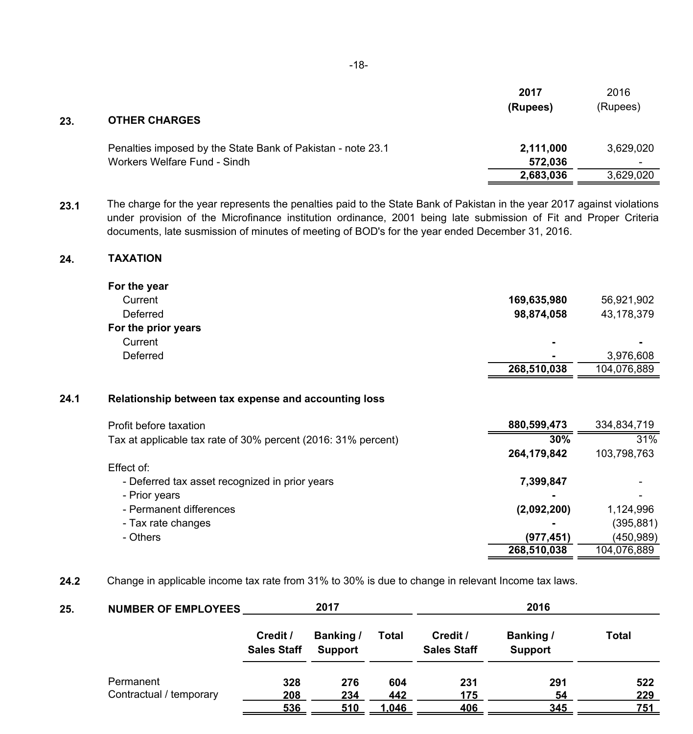| 23. | <b>OTHER CHARGES</b>                                        | 2017<br>(Rupees) | 2016<br>(Rupees)         |
|-----|-------------------------------------------------------------|------------------|--------------------------|
|     | Penalties imposed by the State Bank of Pakistan - note 23.1 | 2,111,000        | 3,629,020                |
|     | Workers Welfare Fund - Sindh                                | 572.036          | $\overline{\phantom{0}}$ |
|     |                                                             | 2,683,036        | 3,629,020                |

**23.1** The charge for the year represents the penalties paid to the State Bank of Pakistan in the year 2017 against violations under provision of the Microfinance institution ordinance, 2001 being late submission of Fit and Proper Criteria documents, late susmission of minutes of meeting of BOD's for the year ended December 31, 2016.

#### **24. TAXATION**

|      | For the year                                                  |             |             |
|------|---------------------------------------------------------------|-------------|-------------|
|      | Current                                                       | 169,635,980 | 56,921,902  |
|      | Deferred                                                      | 98,874,058  | 43,178,379  |
|      | For the prior years                                           |             |             |
|      | Current                                                       |             |             |
|      | Deferred                                                      |             | 3,976,608   |
|      |                                                               | 268,510,038 | 104,076,889 |
| 24.1 | Relationship between tax expense and accounting loss          |             |             |
|      | Profit before taxation                                        | 880,599,473 | 334,834,719 |
|      | Tax at applicable tax rate of 30% percent (2016: 31% percent) | 30%         | 31%         |
|      |                                                               | 264,179,842 | 103,798,763 |
|      | Effect of:                                                    |             |             |
|      | - Deferred tax asset recognized in prior years                | 7,399,847   |             |
|      | - Prior years                                                 |             |             |
|      | - Permanent differences                                       | (2,092,200) | 1,124,996   |
|      | - Tax rate changes                                            |             | (395,881)   |
|      | - Others                                                      | (977, 451)  | (450, 989)  |
|      |                                                               | 268,510,038 | 104,076,889 |

**24.2** Change in applicable income tax rate from 31% to 30% is due to change in relevant Income tax laws.

| 25. | <b>NUMBER OF EMPLOYEES</b> |                                | 2017                 |       |                                | 2016                        |              |
|-----|----------------------------|--------------------------------|----------------------|-------|--------------------------------|-----------------------------|--------------|
|     |                            | Credit /<br><b>Sales Staff</b> | Banking /<br>Support | Total | Credit /<br><b>Sales Staff</b> | Banking /<br><b>Support</b> | <b>Total</b> |
|     | Permanent                  | 328                            | 276                  | 604   | 231                            | 291                         | 522          |
|     | Contractual / temporary    | 208                            | 234                  | 442   | 175                            | 54                          | 229          |
|     |                            | 536                            | 510                  | 1,046 | 406                            | 345                         | 751          |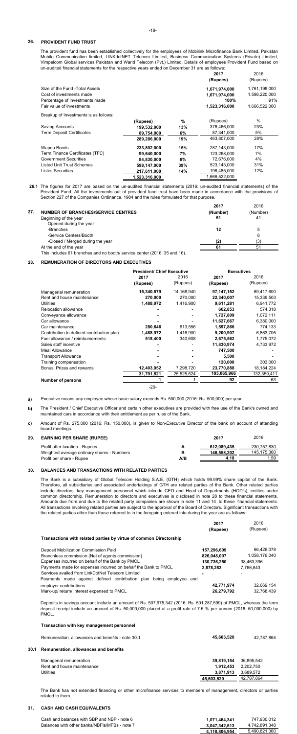#### **26. PROVIDENT FUND TRUST**

The provident fund has been established collectively for the employees of Mobilink Microfinance Bank Limited, Pakistan Mobile Communication limited, LINKdotNET Telecom Limited, Business Communication Systems (Private) Limited, Vimpelcom Global services Pakistan and Warid Telecom (Pvt.) Limited. Details of employees Provident Fund based on un-audited financial statements for the respective years ended on December 31 are as follows:

|                                                             |               |     | 2017<br>(Rupees)               | 2016<br>(Rupees)               |
|-------------------------------------------------------------|---------------|-----|--------------------------------|--------------------------------|
| Size of the Fund - Total Assets<br>Cost of investments made |               |     | 1,671,974,000<br>1,671,974,000 | 1,761,198,000<br>1,598,220,000 |
| Percentage of investments made<br>Fair value of investments |               |     | 100%<br>1,523,316,000          | 91%<br>1,666,522,000           |
| Breakup of Investments is as follows:                       |               |     |                                |                                |
|                                                             | (Rupees)      | %   | (Rupees)                       | $\%$                           |
| <b>Saving Accounts</b>                                      | 199,532,000   | 13% | 376,466,000                    | 23%                            |
| <b>Term Deposit Certificates</b>                            | 89,754,000    | 6%  | 87,341,000                     | 5%                             |
|                                                             | 289,286,000   | 19% | 463,807,000                    | 28%                            |
| Wapda Bonds                                                 | 233,802,000   | 15% | 287,143,000                    | 17%                            |
| Term Finance Certificates (TFC)                             | 99,640,000    | 7%  | 123,268,000                    | 7%                             |
| <b>Government Securities</b>                                | 84,830,000    | 6%  | 72,676,000                     | 4%                             |
| <b>Listed Unit Trust Schemes</b>                            | 598,147,000   | 39% | 523,143,000                    | 31%                            |
| <b>Listes Securities</b>                                    | 217,611,000   | 14% | 196,485,000                    | 12%                            |
|                                                             | 1,523,316,000 |     | ,666,522,000                   |                                |

**26.1** The figures for 2017 are based on the un-audited financial statements (2016: un-audited financial statements) of the Provident Fund. All the investments out of provident fund trust have been made in accordance with the provisions of Section 227 of the Companies Ordinance, 1984 and the rules formulated for that purpose.

**b)** The President / Chief Executive Officer and certain other executives are provided with free use of the Bank's owned and maintained cars in accordance with their entitlement as per rules of the Bank.

|     |                                           | 2017     | 2016           |
|-----|-------------------------------------------|----------|----------------|
| 27. | <b>NUMBER OF BRANCHES/SERVICE CENTRES</b> | (Number) | (Number)       |
|     | Beginning of the year                     | 51       | 41             |
|     | Opened during the year                    |          |                |
|     | -Branches                                 | 12       |                |
|     | -Service Centers/Booth                    |          |                |
|     | -Closed / Merged during the year          |          | (3)            |
|     | At the end of the year                    | 61       | 5 <sup>1</sup> |
|     |                                           |          |                |

This includes 61 branches and no booth/ service center (2016: 35 and 16).

#### **28. REMUNERATION OF DIRECTORS AND EXECUTIVES**

|                                           | <b>President/ Chief Executive</b> |            |             | <b>Executives</b> |  |
|-------------------------------------------|-----------------------------------|------------|-------------|-------------------|--|
|                                           | 2017                              | 2016       | 2017        | 2016              |  |
|                                           | (Rupees)                          | (Rupees)   | (Rupees)    | (Rupees)          |  |
| Managerial remuneration                   | 15,340,579                        | 14,168,940 | 97,147,152  | 69,417,600        |  |
| Rent and house maintenance                | 270,000                           | 270,000    | 22,340,007  | 15,339,503        |  |
| <b>Utilities</b>                          | 1,488,972                         | 1,416,900  | 9,611,281   | 6,941,772         |  |
| Relocation allowance                      |                                   |            | 662,853     | 574,318           |  |
| Conveyance allowance                      |                                   |            | 1,727,809   | 1,072,111         |  |
| Car allowance                             |                                   |            | 11,627,667  | 6,380,000         |  |
| Car maintenance                           | 280,646                           | 613,556    | 1,597,866   | 774,133           |  |
| Contribution to defined contribution plan | 1,488,972                         | 1,416,900  | 9,200,907   | 6,863,705         |  |
| Fuel allowance / reimbursements           | 518,400                           | 340,608    | 2,675,562   | 1,775,072         |  |
| Sales staff incentive                     |                                   |            | 11,830,974  | 4,733,972         |  |
| <b>Meal Allowance</b>                     |                                   |            | 747,500     |                   |  |
| <b>Transport Allowance</b>                |                                   |            | 5,500       |                   |  |
| Training compensation                     |                                   |            | 120,000     | 303,000           |  |
| Bonus, Prizes and rewards                 | 12,403,952                        | 7,298,720  | 23,770,888  | 18,184,224        |  |
|                                           | 31,791,521                        | 25,525,624 | 193,065,966 | 132,359,411       |  |
| <b>Number of persons</b>                  |                                   |            | 92          | 63                |  |
|                                           | $-20-$                            |            |             |                   |  |

**a)** Executive means any employee whose basic salary exceeds Rs. 500,000 (2016: Rs. 500,000) per year.

**c)** Amount of Rs. 275,000 (2016: Rs. 150,000). is given to Non-Executive Director of the bank on account of attending board meetings.

| 29. | <b>EARNING PER SHARE (RUPEE)</b>           |     | 2017        | 2016        |
|-----|--------------------------------------------|-----|-------------|-------------|
|     | Profit after taxation - Rupees             |     | 612,089,435 | 230.757.830 |
|     | Weighted average ordinary shares - Numbers | в   | 146.558.202 | 145.175.360 |
|     | Profit per share - Rupee                   | A/B | 4.18        | 1.59        |

#### **30. BALANCES AND TRANSACTIONS WITH RELATED PARTIES**

The Bank is a subsidiary of Global Telecom Holding S.A.E. (GTH) which holds 99.99% share capital of the Bank. Therefore, all subsidiaries and associated undertakings of GTH are related parties of the Bank. Other related parties include directors, key management personnel which inlcude CEO and Head of Departments (HOD's), entities under common directorship. Remuneration to directors and executives is disclosed in note 28 to these financial statements. Amounts due from and due to the related party companies are shown in note 11 and 14 to these financial statements. All transactions involving related parties are subject to the approval of the Board of Directors. Significant transactions with the related parties other than those referred to in the foregoing entered into during the year are as follows:

|                                                                       | 2017        | 2016          |
|-----------------------------------------------------------------------|-------------|---------------|
|                                                                       | (Rupees)    | (Rupees)      |
| Transactions with related parties by virtue of common Directorship    |             |               |
| Deposit Mobilization Commission Paid                                  | 157,296,609 | 66,426,078    |
| Branchless commission (Net of agents commission)                      | 826,048,007 | 1,058,176,040 |
| Expenses incurred on behalf of the Bank by PMCL                       | 130,736,250 | 38,463,396    |
| Payments made for expenses incurred on behalf the Bank to PMCL        | 2,878,283   | 7,766,843     |
| Services availed from LinkDotNet Telecom Limited                      |             |               |
| Payments made against defined contribution plan<br>being employee and |             |               |
| employer contributions                                                | 42,771,974  | 32,669,154    |
| Mark-up/return/interest expensed to PMCL                              | 26,279,792  | 32.768.439    |

Deposits in savings account include an amount of Rs. 507,975,342 (2016: Rs. 501,287,599) of PMCL, whereas the term deposit receipt include an amount of Rs. 50,000,000 placed at a profit rate of 7.5 % per annum (2016: 50,000,000) by PMCL.

#### **Transaction with key management personnel**

|      | Remuneration, allowances and benefits - note 30.1 | 45,603,520 | 42.787.864 |
|------|---------------------------------------------------|------------|------------|
| 30.1 | Remuneration, allowances and benefits             |            |            |
|      | Managerial remuneration                           | 39.819.154 | 36,895,542 |
|      | Rent and house maintenance                        | 1.912.453  | 2.202.750  |
|      | Utilities                                         | 3,871,913  | 3,689,572  |
|      |                                                   | 45.603.520 | 42,787,864 |
|      |                                                   |            |            |

The Bank has not extended financing or other microfinance services to members of management, directors or parties related to them.

#### **31. CASH AND CASH EQUIVALENTS**

| Cash and balances with SBP and NBP - note 6   | 1,071,464,341 | 747.930.012   |
|-----------------------------------------------|---------------|---------------|
| Balances with other banks/NBFIs/MFBs - note 7 | 3,047,342,613 | 4.742.891.348 |
|                                               | 4,118,806,954 | 5,490,821,360 |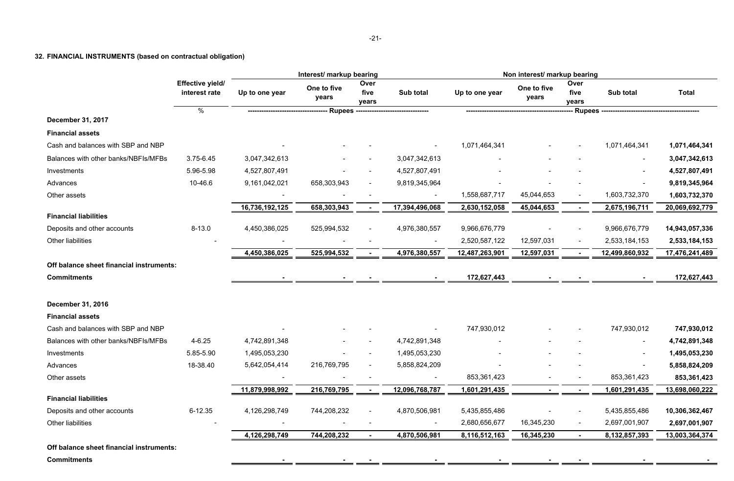#### -21-

#### **32. FINANCIAL INSTRUMENTS (based on contractual obligation)**

|                                          | Effective yield/<br>interest rate | Interest/ markup bearing |                      |                       |                          | Non interest/ markup bearing |                      |                       |                |                |
|------------------------------------------|-----------------------------------|--------------------------|----------------------|-----------------------|--------------------------|------------------------------|----------------------|-----------------------|----------------|----------------|
|                                          |                                   | Up to one year           | One to five<br>years | Over<br>five<br>years | Sub total                | Up to one year               | One to five<br>years | Over<br>five<br>years | Sub total      | <b>Total</b>   |
|                                          | %                                 |                          | <b>Rupees</b>        |                       |                          |                              |                      | <b>Rupees</b>         |                |                |
| December 31, 2017                        |                                   |                          |                      |                       |                          |                              |                      |                       |                |                |
| <b>Financial assets</b>                  |                                   |                          |                      |                       |                          |                              |                      |                       |                |                |
| Cash and balances with SBP and NBP       |                                   |                          |                      |                       |                          | 1,071,464,341                |                      |                       | 1,071,464,341  | 1,071,464,341  |
| Balances with other banks/NBFIs/MFBs     | 3.75-6.45                         | 3,047,342,613            |                      |                       | 3,047,342,613            |                              |                      |                       |                | 3,047,342,613  |
| Investments                              | 5.96-5.98                         | 4,527,807,491            |                      |                       | 4,527,807,491            |                              |                      |                       |                | 4,527,807,491  |
| Advances                                 | 10-46.6                           | 9,161,042,021            | 658,303,943          |                       | 9,819,345,964            |                              |                      |                       |                | 9,819,345,964  |
| Other assets                             |                                   |                          |                      |                       | $\overline{\phantom{a}}$ | 1,558,687,717                | 45,044,653           |                       | 1,603,732,370  | 1,603,732,370  |
|                                          |                                   | 16,736,192,125           | 658,303,943          |                       | 17,394,496,068           | 2,630,152,058                | 45,044,653           |                       | 2,675,196,711  | 20,069,692,779 |
| <b>Financial liabilities</b>             |                                   |                          |                      |                       |                          |                              |                      |                       |                |                |
| Deposits and other accounts              | $8 - 13.0$                        | 4,450,386,025            | 525,994,532          |                       | 4,976,380,557            | 9,966,676,779                |                      |                       | 9,966,676,779  | 14,943,057,336 |
| Other liabilities                        |                                   |                          |                      |                       | $\sim$                   | 2,520,587,122                | 12,597,031           |                       | 2,533,184,153  | 2,533,184,153  |
|                                          |                                   | 4,450,386,025            | 525,994,532          |                       | 4,976,380,557            | 12,487,263,901               | 12,597,031           |                       | 12,499,860,932 | 17,476,241,489 |
| Off balance sheet financial instruments: |                                   |                          |                      |                       |                          |                              |                      |                       |                |                |
| <b>Commitments</b>                       |                                   |                          |                      |                       |                          | 172,627,443                  |                      |                       |                | 172,627,443    |
|                                          |                                   |                          |                      |                       |                          |                              |                      |                       |                |                |
| December 31, 2016                        |                                   |                          |                      |                       |                          |                              |                      |                       |                |                |
| <b>Financial assets</b>                  |                                   |                          |                      |                       |                          |                              |                      |                       |                |                |
| Cash and balances with SBP and NBP       |                                   |                          |                      |                       |                          | 747,930,012                  |                      |                       | 747,930,012    | 747,930,012    |
| Balances with other banks/NBFIs/MFBs     | $4 - 6.25$                        | 4,742,891,348            |                      |                       | 4,742,891,348            |                              |                      |                       |                | 4,742,891,348  |
| Investments                              | 5.85-5.90                         | 1,495,053,230            |                      |                       | 1,495,053,230            |                              |                      |                       |                | 1,495,053,230  |
| Advances                                 | 18-38.40                          | 5,642,054,414            | 216,769,795          |                       | 5,858,824,209            |                              |                      |                       | $\blacksquare$ | 5,858,824,209  |
| Other assets                             |                                   |                          |                      |                       | $\sim$                   | 853,361,423                  |                      |                       | 853,361,423    | 853,361,423    |
|                                          |                                   | 11,879,998,992           | 216,769,795          | $\blacksquare$        | 12,096,768,787           | 1,601,291,435                |                      |                       | 1,601,291,435  | 13,698,060,222 |
| <b>Financial liabilities</b>             |                                   |                          |                      |                       |                          |                              |                      |                       |                |                |
| Deposits and other accounts              | $6 - 12.35$                       | 4,126,298,749            | 744,208,232          |                       | 4,870,506,981            | 5,435,855,486                |                      |                       | 5,435,855,486  | 10,306,362,467 |
| Other liabilities                        |                                   |                          |                      |                       |                          | 2,680,656,677                | 16,345,230           |                       | 2,697,001,907  | 2,697,001,907  |
|                                          |                                   | 4,126,298,749            | 744,208,232          | $\blacksquare$        | 4,870,506,981            | 8,116,512,163                | 16,345,230           |                       | 8,132,857,393  | 13,003,364,374 |
| Off balance sheet financial instruments: |                                   |                          |                      |                       |                          |                              |                      |                       |                |                |
| <b>Commitments</b>                       |                                   |                          |                      |                       |                          |                              |                      |                       |                |                |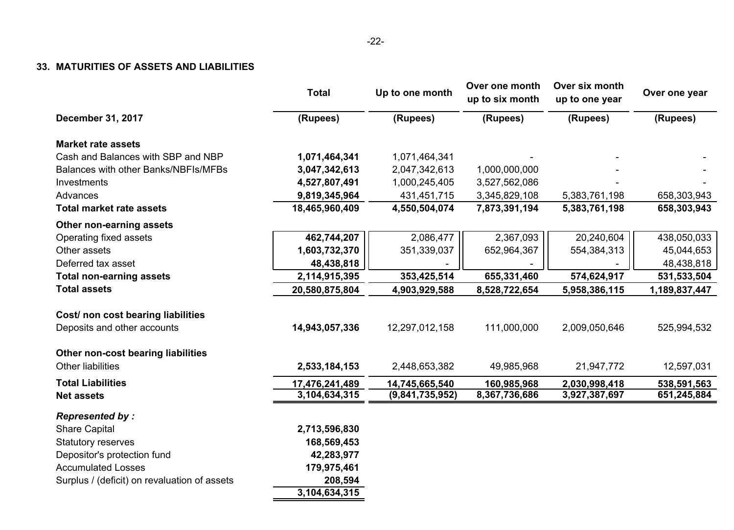### **33. MATURITIES OF ASSETS AND LIABILITIES**

|                                              | <b>Total</b>   | Up to one month | Over one month<br>up to six month | Over six month<br>up to one year | Over one year |
|----------------------------------------------|----------------|-----------------|-----------------------------------|----------------------------------|---------------|
| December 31, 2017                            | (Rupees)       | (Rupees)        | (Rupees)                          | (Rupees)                         | (Rupees)      |
| <b>Market rate assets</b>                    |                |                 |                                   |                                  |               |
| Cash and Balances with SBP and NBP           | 1,071,464,341  | 1,071,464,341   |                                   |                                  |               |
| Balances with other Banks/NBFIs/MFBs         | 3,047,342,613  | 2,047,342,613   | 1,000,000,000                     |                                  |               |
| Investments                                  | 4,527,807,491  | 1,000,245,405   | 3,527,562,086                     |                                  |               |
| Advances                                     | 9,819,345,964  | 431,451,715     | 3,345,829,108                     | 5,383,761,198                    | 658,303,943   |
| <b>Total market rate assets</b>              | 18,465,960,409 | 4,550,504,074   | 7,873,391,194                     | 5,383,761,198                    | 658,303,943   |
| Other non-earning assets                     |                |                 |                                   |                                  |               |
| Operating fixed assets                       | 462,744,207    | 2,086,477       | 2,367,093                         | 20,240,604                       | 438,050,033   |
| Other assets                                 | 1,603,732,370  | 351,339,037     | 652,964,367                       | 554,384,313                      | 45,044,653    |
| Deferred tax asset                           | 48,438,818     |                 |                                   |                                  | 48,438,818    |
| <b>Total non-earning assets</b>              | 2,114,915,395  | 353,425,514     | 655,331,460                       | 574,624,917                      | 531,533,504   |
| <b>Total assets</b>                          | 20,580,875,804 | 4,903,929,588   | 8,528,722,654                     | 5,958,386,115                    | 1,189,837,447 |
|                                              |                |                 |                                   |                                  |               |
| Cost/ non cost bearing liabilities           |                |                 |                                   |                                  |               |
| Deposits and other accounts                  | 14,943,057,336 | 12,297,012,158  | 111,000,000                       | 2,009,050,646                    | 525,994,532   |
| Other non-cost bearing liabilities           |                |                 |                                   |                                  |               |
| Other liabilities                            | 2,533,184,153  | 2,448,653,382   | 49,985,968                        | 21,947,772                       | 12,597,031    |
| <b>Total Liabilities</b>                     | 17,476,241,489 | 14,745,665,540  | 160,985,968                       | 2,030,998,418                    | 538,591,563   |
| <b>Net assets</b>                            | 3,104,634,315  | (9,841,735,952) | 8,367,736,686                     | 3,927,387,697                    | 651,245,884   |
| <b>Represented by:</b>                       |                |                 |                                   |                                  |               |
| <b>Share Capital</b>                         | 2,713,596,830  |                 |                                   |                                  |               |
| Statutory reserves                           | 168,569,453    |                 |                                   |                                  |               |
| Depositor's protection fund                  | 42,283,977     |                 |                                   |                                  |               |
| <b>Accumulated Losses</b>                    | 179,975,461    |                 |                                   |                                  |               |
| Surplus / (deficit) on revaluation of assets | 208,594        |                 |                                   |                                  |               |
|                                              | 3,104,634,315  |                 |                                   |                                  |               |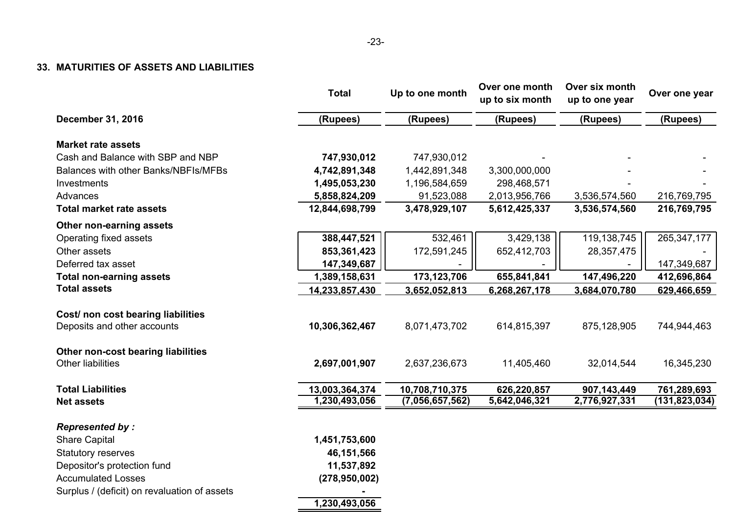#### **33. MATURITIES OF ASSETS AND LIABILITIES**

|                                                                   | <b>Total</b>    | Up to one month | Over one month<br>up to six month | Over six month<br>up to one year | Over one year |
|-------------------------------------------------------------------|-----------------|-----------------|-----------------------------------|----------------------------------|---------------|
| <b>December 31, 2016</b>                                          | (Rupees)        | (Rupees)        | (Rupees)                          | (Rupees)                         | (Rupees)      |
| <b>Market rate assets</b>                                         |                 |                 |                                   |                                  |               |
| Cash and Balance with SBP and NBP                                 | 747,930,012     | 747,930,012     |                                   |                                  |               |
| Balances with other Banks/NBFIs/MFBs                              | 4,742,891,348   | 1,442,891,348   | 3,300,000,000                     |                                  |               |
| Investments                                                       | 1,495,053,230   | 1,196,584,659   | 298,468,571                       |                                  |               |
| Advances                                                          | 5,858,824,209   | 91,523,088      | 2,013,956,766                     | 3,536,574,560                    | 216,769,795   |
| <b>Total market rate assets</b>                                   | 12,844,698,799  | 3,478,929,107   | 5,612,425,337                     | 3,536,574,560                    | 216,769,795   |
| Other non-earning assets                                          |                 |                 |                                   |                                  |               |
| Operating fixed assets                                            | 388,447,521     | 532,461         | 3,429,138                         | 119,138,745                      | 265,347,177   |
| Other assets                                                      | 853,361,423     | 172,591,245     | 652,412,703                       | 28, 357, 475                     |               |
| Deferred tax asset                                                | 147,349,687     |                 |                                   |                                  | 147,349,687   |
| <b>Total non-earning assets</b>                                   | 1,389,158,631   | 173,123,706     | 655,841,841                       | 147,496,220                      | 412,696,864   |
| <b>Total assets</b>                                               | 14,233,857,430  | 3,652,052,813   | 6,268,267,178                     | 3,684,070,780                    | 629,466,659   |
|                                                                   |                 |                 |                                   |                                  |               |
| Cost/ non cost bearing liabilities<br>Deposits and other accounts | 10,306,362,467  | 8,071,473,702   | 614,815,397                       | 875,128,905                      | 744,944,463   |
|                                                                   |                 |                 |                                   |                                  |               |
| Other non-cost bearing liabilities                                |                 |                 |                                   |                                  |               |
| <b>Other liabilities</b>                                          | 2,697,001,907   | 2,637,236,673   | 11,405,460                        | 32,014,544                       | 16,345,230    |
|                                                                   |                 |                 |                                   |                                  |               |
| <b>Total Liabilities</b>                                          | 13,003,364,374  | 10,708,710,375  | 626,220,857                       | 907,143,449                      | 761,289,693   |
| <b>Net assets</b>                                                 | 1,230,493,056   | (7,056,657,562) | 5,642,046,321                     | 2,776,927,331                    | (131,823,034) |
|                                                                   |                 |                 |                                   |                                  |               |
| <b>Represented by:</b>                                            |                 |                 |                                   |                                  |               |
| <b>Share Capital</b>                                              | 1,451,753,600   |                 |                                   |                                  |               |
| Statutory reserves                                                | 46,151,566      |                 |                                   |                                  |               |
| Depositor's protection fund                                       | 11,537,892      |                 |                                   |                                  |               |
| <b>Accumulated Losses</b>                                         | (278, 950, 002) |                 |                                   |                                  |               |
| Surplus / (deficit) on revaluation of assets                      |                 |                 |                                   |                                  |               |
|                                                                   | 1,230,493,056   |                 |                                   |                                  |               |